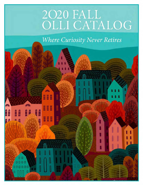# 2020 FALL<br>OLLI CATALOG

**Where Curiosity Never Retires** 

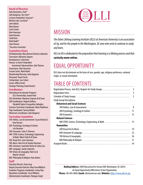#### **Board of Directors**

Judy Havemann, *Chair*\* John Bargeron, *Vice Chair*\* Jo Anne Friedenthal, *Treasurer*\* Martha Cutts, *Secretary*\* John Aldock Myra Barron Lewis Cohen Alan Hausman David Hensler Linda Kiser Mark Nadel\* John Thorner \**Executive Committee*

#### **Committee Chairs**

AU Relationship: Myra Barron & Denise Liebowitz Curriculum: Marianne Soponis Development: Linda Kiser Finance: Jo Anne Friedenthal Investment Subcommittee: John Thorner Governance: Alan Hausman Lecture Series: Mark Nadel Membership/Diversity: John Bargeron Personnel: Stuart Frisch Scholarships: Lew Cohen

#### **Coordinators**

Social: Jeffrey Porter

Strategic Planning: David Hensler

International Accelerator Program/ OLLI Partnership: Jeanne Kent SGL Orientation: Marianne Soponis & Al Taran SGR Coordinators: Virginia DeRoze, Elizabeth Taylor & Jacqueline Gallagher

Summer Curriculum Coordinator: Marie Matthews Trips Coordinator: Tammy Belden Welcomers Coordinator: John Bargeron

#### **Curriculum Committee**

- 100 Politics, Law & Government: Susan Rolnick & Tony Porcaro
- 200 Psychology, Sociology & Culture: Lois Neuman
- 300 Economics: John F. Peterson
- 400 STEM: Science, Technology, Engineering & Math: Albert Cheh & Al Taran
- 500 Visual Arts: Joan Simmons
- 500 Music: Alan Frey & Stanley Newman
- 600 Literature: Jeannette Rivera & Cindy Lisec
- 600 Language: Sandy Leibowitz
- 700 History & Geography: Bob Coe & Marion Connell
- 800 Philosophy & Religion: Katy Adams

#### **Staff**

**PB 1** Executive Director: Tony Long Deputy Executive Director: Mary Fran Miklitsch Academic Programs Coordinator: Lesley Diaz Operations Coordinator: Jesse Williams Administrative Coordinator: Niranjan Singh



# **MISSION**

*The Osher Lifelong Learning Institute (OLLI) at American University is an association of, by, and for the people in the Washington, DC area who wish to continue to study and learn.*

*OLLI at AU is dedicated to the proposition that learning is a lifelong process and that curiosity never retires.*

# EQUAL OPPORTUNITY

OLLI does not discriminate on the basis of race, gender, age, religious preference, national origin, or sexual orientation.

# TABLE OF CONTENTS

|                                       | $\overline{3}$ |
|---------------------------------------|----------------|
|                                       | -5             |
| <b>Study Group Descriptions</b>       |                |
| <b>Behavioral and Social Sciences</b> |                |
|                                       |                |
|                                       |                |
|                                       |                |
| <b>Natural Sciences</b>               |                |
|                                       |                |
| <b>Humanities</b>                     |                |
|                                       |                |
|                                       | 22             |
|                                       | 26             |
|                                       |                |
|                                       |                |

**Mailing Address:** 4400 Massachusetts Avenue NW, Washington, DC 20016 An Equal Opportunity/Affirmative Action Organization **Phone:** 202.895.4860 | **Email:** olli@american.edu | **Website:** https://www.olli-dc.org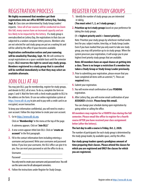# REGISTRATION PROCESS

**We highly recommend that members get their registrations into our office BEFORE Lottery Day, Tuesday, Sept. 8.** Class sizes are determined by Study Group Leaders' requests. **Since all of our courses will be conducted via Zoom this fall, many courses have an increased capacity and are less likely to be impacted by the lottery.** If a study group is oversubscribed on Lottery Day, the registrations in that class are subjected to a random computer lottery process. Members who are not selected for said study group are put on a waiting list and will be called by the office if space becomes available.

**Registration confirmation notices and your nametag will be emailed by Thursday, Sept. 10.** We will continue to accept registrations on a space-available basis until the semester begins. **OLLI reserves the right to cancel any study group. Members registered in a study group that is cancelled will be notified immediately so that they may select an available alternate.**

# JOIN OLLI AT AU

You may join OLLI, pay for membership, register for study groups, and donate to OLLI, all at once. To do so, complete the form on pages 3 and 4. Mail the form with a check made payable to OLLI to the address on the form. Or use our online registration system at https://www.olli-dc.org to join and to pay with a credit card in an encrypted, secure transaction.

To keep your information confidential, you will need to create a user account. Follow the steps below to create your user account.

**1.** Go to https://www.olli-dc.org.

Click on "**Membership**" in the menu at the top of the page. A submenu appears. Click on "**Join OLLI**."

- **2.** A new screen appears titled Join OLLI. Click on "**create an account**" in the first paragraph.
- **3.** Fill in the contact information form including entering a username and password. Write your username and password below. If you lose your username, the OLLI office can give it to you. You can reset your password or ask the office to do so.

Username \_\_\_\_\_\_\_\_\_\_\_\_\_\_\_\_\_\_\_\_\_\_\_\_\_\_\_\_

Password **and a set of the set of the set of the set of the set of the set of the set of the set of the set of the set of the set of the set of the set of the set of the set of the set of the set of the set of the set of t** 

You only need to create your username and password once. You will use the same ones for all subsequent semesters.

**4.** Follow the instructions under Register for Study Groups.

# REGISTER FOR STUDY GROUPS

**1.** Identify the number of study groups you are interested in taking.

#### **(You must select 1, 2, or 3 study groups.)**

**2. Prioritize up to 6 study groups** based on your preference for taking the study groups.

#### **(1 = highest priority and 6 = lowest priority).**

Note: Prioritize your study groups by whichever method works best for you: subject matter, time/day, or Study Group Leader. Even if you have marked that you only want to take one study group, you may still prioritize up to six study groups. When the system processes your registration, it will assign you to your highest level priority study groups that are available.

#### **Note: All members have an equal chance at getting into a class. There is no longer a restriction if a member has taken a Study Group or Study Group Leader previously.**

- **3.** Prior to submitting your registration, please ensure that you have completed all items with an asterisk (\*). These are **required** items.
- **4.** Submit your registration.
- **5.** You will receive email confirmation of your **PENDING** registration.
- **6.** After Lottery Day, you will receive email confirmation of your **ASSIGNED** schedule. **Please keep this email.**

You can change your schedule during open registration by going online or calling the office.

**All members may register for a FOURTH class during the fall semester. Please email the office to register for a fourth course AFTER you have received your class assignment letter (after the lottery).**

#### **The last day to add a course is Friday, Oct. 2, 2020.**

The number of participants for each study group is determined by the study group leader, by available space, and by the office.

**Our study group leaders spend a prodigious amount of time preparing their classes. Please attend the classes for which you are registered and ONLY the classes for which you are registered.**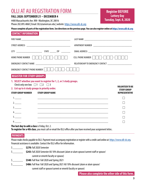# OLLI AT AU REGISTRATION FORM

#### **FALL 2020: SEPTEMBER 21 – DECEMBER 4**

4400 Massachusetts Ave. NW • Washington, DC 20016 Phone 202.895.4860 | Email: OLLI@american.edu | website: https://www.olli-dc.org

## **Register BEFORE Lottery Day Tuesday, Sept. 8, 2020**

#### **Please complete all parts of the registration form. See directions on the previous page. You can also register online at https://www.olli-dc.org**

#### **CONTACT INFORMATION**

| <b>HOME PHONE NUMBER</b>                                                                                                                                                                                    | <u>             - </u><br>$\mathbb{L}$ |           | CELL PHONE NUMBER            <br>$\blacksquare$                                                                                                                                                |
|-------------------------------------------------------------------------------------------------------------------------------------------------------------------------------------------------------------|----------------------------------------|-----------|------------------------------------------------------------------------------------------------------------------------------------------------------------------------------------------------|
|                                                                                                                                                                                                             |                                        |           | RELATIONSHIP TO EMERGENCY CONTACT ________________________                                                                                                                                     |
| EMERGENCY CONTACT PHONE NUMBER                                                                                                                                                                              | $\overline{a}$                         | $\vert$ - |                                                                                                                                                                                                |
| <b>REGISTER FOR STUDY GROUPS</b>                                                                                                                                                                            |                                        |           |                                                                                                                                                                                                |
| 1. SELECT whether you want to register for 1, 2, or 3 study groups.<br>Check only one box: $\Box$ 1 $\Box$ 2 $\Box$ 3<br>2. List up to 6 study groups in priority order.<br><b>STUDY GROUP NUMBER</b><br>1. | <b>STUDY GROUP NAME</b>                |           | <b>VOLUNTEER TO BE</b><br><b>STUDY GROUP</b><br><b>REPRESENTATIVE</b><br><u> 1989 - Johann Stoff, deutscher Stoff, der Stoff, der Stoff, der Stoff, der Stoff, der Stoff, der Stoff, der S</u> |
| 2.                                                                                                                                                                                                          |                                        |           | <u> 1980 - Johann Stoff, die staatskriuw fan de Amerikaansk kommunister († 1901)</u>                                                                                                           |
| 3.                                                                                                                                                                                                          |                                        |           | <u> 1989 - Johann Stoff, amerikansk politiker (* 1908)</u>                                                                                                                                     |
| 4.                                                                                                                                                                                                          |                                        |           | <u> 1989 - Johann Stoff, amerikansk politiker (* 1908)</u>                                                                                                                                     |
| 5.                                                                                                                                                                                                          |                                        |           | <u> 1989 - Johann Stoff, amerikansk politiker (* 1908)</u>                                                                                                                                     |
| 6.                                                                                                                                                                                                          |                                        |           | and the control of the control of the control of the control of the control of the control of the control of the                                                                               |
| The last day to add a class is Friday, Oct. 2.                                                                                                                                                              |                                        |           | To register for a 4th class, you must call or email the OLLI office after you have received your assignment letter.                                                                            |

#### **PAYMENTS**

Please make checks payable to OLLI. Payment must accompany registration or register with a credit card online at: https://www.olli-dc.org. Financial assistance is available. Contact the OLLI office for information.

\$\_\_\_\_\_\_\_ **\$270:** Fall 2020 Semester

- \$\_\_\_\_\_\_\_ **\$243:** Fall 2020 Semester AU 10% discount (alum or alum spouse/current staff or spouse/ current or emeriti faculty or spouse)
- \$\_\_\_\_\_\_\_ **\$540:** Full Year: Fall 2020 and Spring 2021
- \$\_\_\_\_\_\_\_ **\$486:** Full Year: Fall 2020 and Spring 2021 AU 10% discount (alum or alum spouse/
	- current staff or spouse/current or emeriti faculty or spouse)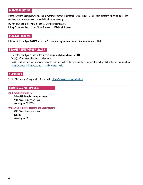#### **DIRECTORY LISTING**

Please check the boxes below if you do NOT want your contact information included in our Membership Directory, which is produced as a courtesy to our members and is intended for internal use only.

**DO NOT** include the following in the OLLI Membership Directory.

 $\Box$  My Phone Number  $\Box$  My Street Address  $\Box$  My Email Address

#### **PUBLICITY RELEASE**

 $\Box$  Check this box if you **DO NOT** authorize OLLI to use your photo and name in its marketing and publicity.

#### **BECOME A STUDY GROUP LEADER**

 $\Box$  Check this box if you are interested in becoming a Study Group Leader at OLLI.

Topic(s) of interest for leading a study group:  $\Box$ 

An OLLI staff member or Curriculum Committee member will contact you shortly. Please visit the website below for more information: https://www.olli-dc.org/become\_a\_study\_group\_leader.

#### **VOLUNTEER**

See the "Get Involved" page on the OLLI website, https://www.olli-dc.org/volunteer.

#### **RETURN COMPLETED FORM**

#### **MAIL completed form to:**

**Osher Lifelong Learning Institute** 4400 Massachusetts Ave. NW Washington, DC 20016

#### **Or DELIVER completed form to the OLLI office at:**

4801 Massachusetts Ave. NW Suite 501 Washington, DC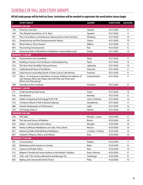# SCHEDULE OF FALL 2020 STUDY GROUPS

**All fall study groups will be held via Zoom. Invitations will be emailed to registrants the week before classes begin.**

| #   | <b>STUDY GROUP</b>                                                                                                                                     | <b>LEADER</b>        | <b>START DATE</b> | <b>SESSIONS</b> |
|-----|--------------------------------------------------------------------------------------------------------------------------------------------------------|----------------------|-------------------|-----------------|
|     | <b>MONDAY 9:45 AM</b>                                                                                                                                  |                      |                   |                 |
| 140 | American and Asia                                                                                                                                      | Yahuda               | 9/21/2020         | 8               |
| 549 | The (Mostly) Vocal Music of J.S. Bach                                                                                                                  | Squitieri            | 9/21/2020         | 9               |
| 591 | This is Your Brain on Architecture: Neuroscience in the Trenches                                                                                       | Shinberg             | 9/21/2020         | 10              |
| 625 | Deuteronomy and the Deuteronomistic History                                                                                                            | Lebow                | 9/21/2020         | 10              |
| 681 | What's New in Short Stories?                                                                                                                           | Willens              | 9/21/2020         | 8               |
| 805 | <b>Discovering Consciousness</b>                                                                                                                       | Reo                  | 9/21/2020         | 8               |
| 834 | Mastering Skills of Mindfulness Meditation: Intermediate Level                                                                                         | <b>Drobis</b>        | 9/21/2020         | 10              |
|     | <b>MONDAY 11:45 AM</b>                                                                                                                                 |                      |                   |                 |
| 290 | Homework for Our Grandkids                                                                                                                             | Shaw                 | 9/21/2020         | 9               |
| 490 | Building a Human: From Embryos to Bioengineering                                                                                                       | Taran                | 9/21/2020         | 10              |
| 516 | The New York City Ballet: Past and Future                                                                                                              | Lipkowitz            | 9/21/2020         | 10              |
| 545 | Celebrating 90 Years of Sondheim                                                                                                                       | Sherman              | 9/21/2020         | 6               |
| 630 | Little Known Louisa May Alcott: A Fresh Look at Little Women                                                                                           | Freeman              | 9/21/2020         | 8               |
| 725 | Africa-A Continent on the Move: A Survey of Where the Nations of<br>Sub-Saharan Africa Are Today; How Did They Get There; and<br>Where Are They Going? | Schermerhorn         | 9/21/2020         | 9               |
| 788 | Scientists in the Crosshairs                                                                                                                           | Schwartz             | 9/21/2020         | 8               |
|     | <b>MONDAY 1:45 PM</b>                                                                                                                                  |                      |                   |                 |
| 377 | <b>Understanding Trade Issues</b>                                                                                                                      | Graef                | 9/21/2020         | 10              |
| 435 | Astrophysics                                                                                                                                           | Kearsley             | 9/21/2020         | 8               |
| 445 | Adults Conquering Technology III (ACT III)                                                                                                             | Cahn, Friedman       | 9/21/2020         | 10              |
| 510 | A History of Rock'n Roll: A Musical Odyssey                                                                                                            | Gondelman            | 9/21/2020         | 11              |
| 688 | Hamlet: Shakespeare in Performance                                                                                                                     | Light                | 9/21/2020         | 10              |
| 703 | US Foreign Policy II                                                                                                                                   | Nathan               | 9/21/2020         | 10              |
|     | <b>TUESDAY 9:45 AM</b>                                                                                                                                 |                      |                   |                 |
| 250 | <b>TED Talks</b>                                                                                                                                       | Mindel, L. Lewis     | 9/22/2020         | 8               |
| 480 | The Ups and Downs of Weather                                                                                                                           | <b>Brown</b>         | 9/22/2020         | 10              |
| 620 | Italian-Conversation and Culture                                                                                                                       | Mongini              | 9/22/2020         | 10              |
| 646 | Poetry Craftshop: Meditations on Color, Tone, Desire                                                                                                   | Pierson              | 9/22/2020         | 10              |
| 831 | Mastering Skills of Mindfulness Meditation                                                                                                             | J. Drobis, S. Drobis | 9/22/2020         | 10              |
| 867 | Aristotle II (Physics, Ethics, and Politics)                                                                                                           | Ross                 | 9/22/2020         | 10              |
|     | TUESDAY 11:45 AM                                                                                                                                       |                      |                   |                 |
| 201 | Consciousness                                                                                                                                          | Keatley              | 9/22/2020         | 9               |
| 242 | Marketing and Its Impact on Society                                                                                                                    | Batra                | 9/22/2020         | 8               |
| 415 | Science and Public Policy                                                                                                                              | Katz                 | 9/22/2020         | 10              |
| 515 | Wagner's Parsifal and Some Authors in the Master's Shadow                                                                                              | Eisen, Holman        | 9/22/2020         | 8               |
| 579 | 16th- and 17th-Century Mannerist and Baroque Art                                                                                                       | Leinberger           | 9/22/2020         | 8               |
| 695 | Kipling and Colonial Short(ish) Fiction                                                                                                                | Plotz                | 9/22/2020         | 10              |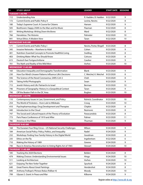| $\#$ | <b>STUDY GROUP</b>                                            | <b>LEADER</b>           | <b>START DATE SESSIONS</b> |                 |
|------|---------------------------------------------------------------|-------------------------|----------------------------|-----------------|
|      | TUESDAY 1:45 PM                                               |                         |                            |                 |
| 112  | <b>Understanding Asia</b>                                     | R. Hadden, B. Hadden    | 9/22/2020                  | 9               |
| 172  | <b>Current Events and Public Policy II</b>                    | Levine, Nevins          | 9/22/2020                  | 8               |
| 180  | Today's Supreme Court: A Course for Citizens                  | Hansen                  | 9/22/2020                  | 9               |
| 505  | Beethoven: Happy 250th to the Man and his Music               | Flaxman                 | 9/22/2020                  | 8               |
| 651  | Writing Workshop: Writing Down the Bones                      | Ward                    | 9/22/2020                  | 8               |
| 766  | Herodotus: The Histories                                      | Palmeter                | 9/22/2020                  | 10              |
| 841  | Virtue Ethics: A Modern View                                  | Taran                   | 9/22/2020                  | 10 <sup>°</sup> |
|      | <b>WEDNESDAY 9:45 AM</b>                                      |                         |                            |                 |
| 171  | <b>Current Events and Public Policy I</b>                     | Nevins, Porter, Ringell | 9/23/2020                  | 8               |
| 345  | Invasive Networks-Nowhere to Hide!                            | Cohen                   | 9/23/2020                  | 9               |
| 401  | Nutrition: Essential Concepts to Promote Healthful Living     | Snelling                | 9/23/2020                  | 8               |
| 403  | Drinking Water: What You Should Know                          | Cotruvo                 | 9/23/2020                  | 8               |
| 615  | Deutsch fuer Fortgeschrittene                                 | Caraher                 | 9/23/2020                  | 9               |
| 701  | The Myth and Reality of the Wild West                         | Vorhes                  | 9/23/2020                  | 10              |
|      | <b>WEDNESDAY 11:45 AM</b>                                     |                         |                            |                 |
| 160  | Education Inequality and Demographic Transformation           | <b>Blank</b>            | 9/23/2020                  | 9               |
| 230  | How Our Mind's Unseen Patterns Influence Life's Decisions     | C. Weichel, K. Weichel  | 9/23/2020                  | 8               |
| 436  | The Science of the Novel Coronavirus, SARS-CoV-2              | Cheh                    | 9/23/2020                  | 8               |
| 570  | <b>Taking Artful Photographs</b>                              | Swan                    | 9/23/2020                  | 9               |
| 715  | Jewish History and Life: Patriarchs to Israel                 | Berman                  | 9/23/2020                  | 10              |
| 746  | Prisoners of Geography: History in a Geopolitical Context     | Taran                   | 9/23/2020                  | 9               |
| 790  | Off the Beaten Path in the DC Area                            | <b>Buglass</b>          | 9/23/2020                  | 10              |
|      | <b>WEDNESDAY 1:45 PM</b>                                      |                         |                            |                 |
| 110  | Contemporary Issues in Law, Government, and Policy            | Rolnick, Coordinator    | 9/23/2020                  | 10              |
| 254  | The World of Tricksters-from Loki to Wikileaks                | Croog                   | 9/23/2020                  | 10              |
| 410  | Psychopharmacology: Drug Development and Therapies            | Chipkin                 | 9/23/2020                  | 8               |
| 440  | Introduction to the Cloud                                     | Rezmovic                | 9/23/2020                  | 8               |
| 747  | The Social and Cultural Impacts of the Theory of Evolution    | Parascandola            | 9/23/2020                  | 8               |
| 773  | Paris Peace Conference of 1919 and After                      | Palmer                  | 9/23/2020                  | 11              |
| 786  | America in the Fifties                                        | Thurman                 | 9/23/2020                  | 9               |
|      | <b>THURSDAY 9:45 AM</b>                                       |                         |                            |                 |
| 168  | The Eurasian Four Ring Circus-US National Security Challenges | Wilson                  | 9/24/2020                  | 9               |
| 184  | American Social Policy: Policy, Politics, and Inequality      | Nadel                   | 9/24/2020                  | 9               |
| 232  | Workshop: Finding Your Family History in the Digital World    | Goodman                 | 9/24/2020                  | 8               |
| 235  | Ethics on the Fly                                             | Ingebretsen             | 9/22/2020                  | 6               |
| 710  | Making the History of 1989                                    | Greene                  | 9/24/2020                  | 9               |
| 740  | Race in America: Reconstruction to Voting Rights Act of 1965  | Stewart                 | 9/24/2020                  | 10              |
|      | THURSDAY 11:45 AM                                             |                         |                            |                 |
| 185  | Tracking the 2020 Elections                                   | Belden                  | 9/24/2020                  | 8               |
| 479  | Making Choices: Understanding Environmental Issues            | Hinga                   | 9/24/2020                  | 10              |
| 511  | Looking at Architecture                                       | Vorhes                  | 9/24/2020                  | 10              |
| 621  | Enjoying The New Yorker Together                              | Spurlock                | 9/24/2020                  | 8               |
| 640  | <b>Great Poems About Great Paintings</b>                      | Hendershot              | 9/24/2020                  | 8               |
| 690  | Anthony Trollope's Phineas Redux (Palliser 4)                 | Moody                   | 9/24/2020                  | 10              |
| 799  | Ulysses S. Grant: In Peace and War                            | Kilborne                | 9/24/2020                  | 9               |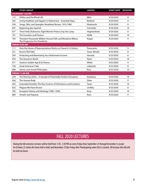| $\#$ | <b>STUDY GROUP</b>                                                                             | <b>LEADER</b> | <b>START DATE</b> | <b>SESSIONS</b> |
|------|------------------------------------------------------------------------------------------------|---------------|-------------------|-----------------|
|      | <b>THURSDAY 1:45 PM</b>                                                                        |               |                   |                 |
| 113  | Politics and the Moral Life                                                                    | Elkin         | 9/24/2020         | 8               |
| 292  | Living Healthier and Happier in Retirement—Essential Steps                                     | Bickford      | 9/24/2020         | 9               |
| 530  | Songs, Skits, and Spangles: Broadway Revues, 1910-1960                                         | Moskowitz     | 9/24/2020         | 8               |
| 607  | Beginning-plus Spanish                                                                         | Schneider     | 9/24/2020         | 10              |
| 677  | Their Emily Dickinsons: Eight Women Poets Lit by Her Lamp                                      | Heginbotham   | 9/24/2020         | 8               |
| 791  | The Founders and Finance                                                                       | Wolfe         | 9/24/2020         | 10              |
| 793  | Theodore Roosevelt, William Howard Taft, and Woodrow Wilson:<br>The Progressive Era Presidents | Kogan         | 9/24/2020         | 9               |
|      | <b>FRIDAY 9:45 AM</b>                                                                          |               |                   |                 |
| 111  | How the House of Representatives Works (or Doesn't): A History                                 | Pomerantz     | 9/25/2020         | 9               |
| 251  | <b>Recent TED Talks</b>                                                                        | Swan, Mindel  | 9/25/2020         | 8               |
| 350  | Protecting and Maximizing Your Retirement Income                                               | Hurwitz       | 9/25/2020         | 8               |
| 444  | The Ouantum World                                                                              | Read          | 9/25/2020         | 10              |
| 671  | Greece's Golden Age & Its Drama                                                                | White         | 9/25/2020         | 9               |
| 750  | <b>Great American Trials</b>                                                                   | Leibowitz     | 9/25/2020         | 8               |
| 868  | Islamic and Jewish Philosophy                                                                  | Ross          | 9/25/2020         | 10              |
|      | <b>FRIDAY 11:45 AM</b>                                                                         |               |                   |                 |
| 244  | The Roaring 2020s-A Decade of Potentially Positive Disruption                                  | Kolodney      | 9/25/2020         | 10              |
| 426  | The Human Body                                                                                 | Shaw          | 9/25/2020         | 11              |
| 492  | Extended Heredity: The New Science of Inheritance and Evolution                                | Taran         | 9/25/2020         | 10              |
| 653  | Plagues We Have Known                                                                          | Urofsky       | 9/25/2020         | 8               |
| 782  | European History and Ideology (1900-1940)                                                      | King          | 9/25/2020         | 10              |
| 869  | Anselm and Aquinas                                                                             | Ross          | 9/25/2020         | 11              |

# FALL 2020 LECTURES

During the fall semester, lectures will be held from 1:30–2:30 PM on every Friday from September 25 through December 4, except for October 23 (when the Town Hall is held) and November 27(the Friday after Thanksgiving when OLLI is closed). All lectures this fall will be held via Zoom.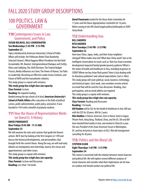# FALL 2020 STUDY GROUP DESCRIPTIONS

# 100 POLITICS, LAW & GOVERNMENT

# **110** Contemporary Issues in Law, Government, and Policy

#### **SUSAN ROLNICK, OLLI COORDINATOR Ten Wednesdays (1:45 PM - 3:15 PM) September 23**

Topics introduced by American University's School of Public Affairs will include: Are Politicians Better Than Randomly Selected Citizens?; What Happens When Presidents Are Not Held Accountable; OK, Boomer: Intergenerational Dialogue and Civility; Ethics and Lobbying; The 2020 Elections; The Federal Budget Process; Media Influences on Crime; The Power of Humor; Six Paths to Leadership: Becoming an Effective Leader Across Contexts; and Future of NATO and the transatlantic relations.

This study group is a repeat with revisions.

#### *This study group has a high class size capacity.* **Class Format:** Lecture

**Reading:** No required reading.

*Ranked among the top schools of its kind, American University's School of Public Affairs offers education in the fields of political science, public administration, public policy, and justice. It was founded in 1934 with a handful of graduate students.*

# **111** How the House of Representatives Works (or Doesn't): A History

#### **DAVID POMERANTZ Nine Fridays (9:45 AM - 11:15 AM) September 25**

We will examine the rules and customs that guide the House's actions. We'll start by looking at the first Congress in 1789 and discuss the historical developments, and personalities, that brought forth the current House. Along the way, we will read early debates on immigration and citizenship, slavery, the census and apportionment, and other issues.

This study group is a repeat with revisions.

*This study group has a high class size capacity.* **Class Format:** Lecture and Discussion **Reading:** Less than 1 hr/week.

*David Pomerantz worked for the House Rules Committee for 17 years and the House Appropriations Committee for 16 years. Before coming to the Hill, David taught political philosophy at SUNY, Stony Brook.*

# **112** Understanding Asia

#### **BILL HADDEN RITA HADDEN Nine Tuesdays (1:45 PM - 3:15 PM) September 22**

How have China, Japan, India, and their Asian neighbors changed? What makes Asia tick? What does China want? Join us for intelligent conversation on issues such as: How has Asian economic development impacted family/gender/poverty patterns? What is the status of health and healthcare in Asia, including responses to COVID? Where are key Asian flash points? How is Asia dealing with its disastrous pollution? and cultural expectations: East vs. West. This study group will cover political, social, business, technology, and historical topics. Each week, class members receive articles via email that will be used for class discussion. Reading, class participation, and an email address are required. This study group is a repeat with revisions.

*This study group has a high class size capacity.*

**Class Format:** Reading and Discussion

**Reading:** 1 hr/week.

*Bill Hadden will be SGL for the Health & Healthcare in Asia. Bill was with the CDC for 28 years, NIH for 2 years.*

*Rita Hadden is Chinese-American, born in Hanoi, lived in Saigon, Phnom Penh, Hong Kong, Thailand, China, and the US. She and Bill have traveled/lived widely in Asia, and worked in China for a year. She was President of the Asian American Forum in Washington, DC, and has lectured on Asian topics at OLLI. Rita did management consulting for 40 years.*

# **113:** Politics and the Moral Life

#### **STEPHEN ELKIN Eight Thursdays 1:45 PM - 3:15 PM) September 24**

This course is concerned with the relation between moral character and political life. We will explore several different analyses of moral character and consider what their implications are for how we conduct and should conduct our political life.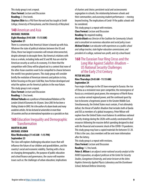This study group is not a repeat. **Class Format:** Lecture and Discussion **Reading:** 2-3 hrs/week. *Stephen Elkin has a PhD from Harvard and has taught at Smith College, University of Pennsylvania, and the University of Maryland.*

#### **140** American and Asia

#### **MICHAEL YAHUDA Eight Mondays (9:45 AM - 11:15 AM) September 21**

There is a consensus that America's future is bound up with Asia. Whatever the state of political relations between the US and China, these two largest economies will remain interconnected, despite attempts to decouple them. But America's relations with Asia as a whole, including India and SE and NE Asia are vital for American security as well as its economy. It is there that the competition with China will be played out in a context that none of the other Asian countries want to be compelled to choose between the world's two greatest powers. This study group will consider briefly the evolution of American interests and policies in Asia, before focusing on the post-Cold War, how friction developed and what the options are for America's policies in the near future. This study group is not a repeat.

**Class Format:** Lecture and Discussion

#### **Reading:** 1-2 hrs/week.

*Michael Yahuda was a professor of International Relations at The London School of Economics for 30 years. Since 2003 he has been a Visiting Scholar in GWU. He is the author of a dozen books and many academic articles. He has lectured at universities in more than 30 countries and has an international reputation as a specialist on Asia.*

## **160** Education Inequality and Demographic **Transformation**

#### **MARTIN BLANK MICHAEL USDAN Nine Wednesdays (11:45 AM - 1:15 PM) September 23**

The class will explore challenging education issues that will influence the future of our children and grandchildren, and the country's social and economic viability. Starting with a focus on changing demographics, the purpose of public education and school finance and governance, the course will examine issues such as: the challenges of urban education; implications

of charters and choice; persistent racial and socioeconomic segregation in schools; the relationship between schools and their communities; and assessing student performance—moving beyond testing. The implications of Covid-19 for public schools will be considered.

This study group is a repeat with revisions.

**Class Format:** Lecture and Discussion **Reading:** No required reading.

*Martin Blank was Director of the Coalition for Community Schools and a consultant on numerous education and social policy issues Michael Usdan is an educator with experiences as a public school and college teacher, state higher education commissioner, and president of a college, national non-profit, and city school board.*

## **168** The Eurasian Four Ring Circus and the Long War Against Salafist-Jihadism – US National Security Challenges of the Early 21st Century

#### **PETER WILSON Nine Thursdays (9:45 AM - 11:15 AM) September 24**

Four major challenges to the US have emerged in Eurasia: the rise of China as a revisionist near-peer competitor, the reemergence of Russia as a revisionist great power, the emergence of North Korea as a nuclear-armed regional power, and the continued quest by Iran to become a hegemonic power in the Greater Middle East. Simultaneously, the United States must contain, if not ultimately defeat, the threat of Salafist-Jihadism that includes both al Qaeda and ISIS as members of a global insurgency. Peter Wilson will explore how the United States must balance its ambitious national security strategy during the 2020s with acutely constrained fiscal resources following the massive deficit spending designed to deal with the financial and economic shock of the COVID-19 pandemic. This study group may have a copied materials fee between \$5-20. If this is the case, class members will be sent more information after the lottery.

This study group is a repeat with revisions.

**Class Format:** Lecture and Discussion

**Reading:** 1-2 hrs/week.

*Peter A. Wilson is an adjunct senior national security analyst at the RAND Corporation, an adjunct professor at the Center for Security Studies, Georgetown University, and senior lecturer at the Johns Hopkins University Applied Physics Laboratory and the Eisenhower School, National Defense University.*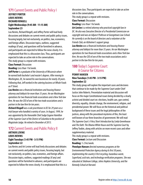# **171** Current Events and Public Policy I

#### **JEFFREY PORTER LOUIS NEVINS RICHARD RINGELL Eight Wednesdays (9:45 AM - 11:15 AM) September 23**

Lou Nevins, Richard Ringell, and Jeffrey Porter will lead lively discussions and debates on current events and public policy issues, focusing largely, but not exclusively, on politics, law, economics, and foreign affairs. Discussion topics, outlines, suggested readings (if any), and questions will be furnished in advance, and participants are expected to follow the news closely. It is emphasized that this is a discussion class. Thus, participants are expected to take an active role in the conversations.

This study group is a repeat with revisions.

#### **Class Format:** Discussion

**Reading:** Less than 1 hr/week.

*Jeff Porter is a graduate of the University of Wisconsin where he earned both bachelor's and master's degrees. After moving to Washington, DC, he owned his own businesses for nearly 20 years. Following that, Jeff worked in the catering business at Whole Foods on P Street.*

*Lou Nevins was a financial institutions and housing finance attorney and lobbyist for more than 35 years. He ran Washington operations for two financial trade associations and a New York law firm. He was the CEO of one of the two trade associations and a partner in the law firm for ten years.*

*Richard Ringell was a sole practitioner in DC for 29 years as a trial lawyer who handled a variety of cases. In August, 1999, he was appointed by the Honorable Chief Judge Eugene Hamilton of the Superior Court of the District of Columbia to the position of Magistrate Judge. He retired in December of 2013.*

# **172** Current Events and Public Policy II

#### **ARTHUR LEVINE LOUIS NEVINS Eight Tuesdays (1:45 PM - 3:15 PM) September 22**

Lou Nevins and Art Levine will lead lively discussions and debates on current events and public policy issues, focusing largely, but not exclusively, on politics, law, economics, and foreign affairs. Discussion topics, outlines, suggested readings (if any) and questions will be furnished in advance, and participants are expected to follow the news closely. It is emphasized that this is a discussion class. Thus participants are expected to take an active role in the conversations.

This study group is a repeat with revisions.

**Class Format:** Discussion

**Reading:** Less than 1 hr/week.

*Art Levine is a retired attorney who practiced copyright law in DC. He also was Executive Director of a Presidential Commission on copyright and was an Adjunct Professor at Georgetown Law School. He currently is on the board of directors and a volunteer at the Friends Club, an Alzheimer's support group.*

*Lou Nevins was a financial institutions and housing finance attorney and lobbyist for more than 35 years. He ran Washington operations for two financial trade associations and a New York law firm. He was the CEO of one of the two trade associations and a partner in the law firm for ten years.*

# **180** Today's Supreme Court: A Course for Citizens

#### **PENNY HANSEN Nine Tuesdays (1:45 PM - 3:15 PM) September 22**

This study group will explore the important cases and decisions that continue to be made by the Supreme Court under Chief Justice John Roberts. Presentation material and discussion will focus on the major Constitutional issues being decided by a clearly activist and divided court on: elections, health care, gun control, diversity, equality, climate change, the environment, religion, and presidential power. We will focus on the historical and political background of these issues and the legal philosophies of the justices, along with the procedural mysteries of this, the least well known of our three branches of government. We will read *The Supreme Court: A Very Short Introduction* by Linda Greenhouse and *The Oath: The Obama White House and the Supreme Court* by Jeffrey Toobin, along with articles on more recent cases and other supplementary material.

This study group is a repeat with revisions.

**Class Format:** Lecture and Discussion **Reading:** 1-2 hrs/week.

*Penelope Hansen directed numerous programs at the Environmental Protection Agency during its first 30 years, implementing the country's first recycling, hazardous waste, Superfund, acid rain, and technology verification programs. She was educated at Skidmore College, Johns Hopkins University, and the Kennedy School at Harvard.*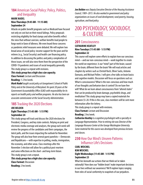# **184** American Social Policy: Policy, Politics, and Inequality

#### **MARK NADEL Nine Thursdays (9:45 AM - 11:15 AM) September 24**

Attacks on public benefit programs such as Medicaid have focused not only on cost but on their moral failings. Policy proposals restricting eligibility for food stamps and other benefits reflect the view that without coercion, welfare benefits lead people to forgo work in favor of idleness. We even heard these concerns as pandemic relief measures were debated. We will explore two broad areas of social policy: income support for the poor and for retirees (e.g., Social Security) and health care financing policy. In addition to discussing the politics and policy complexities of these issues, we will also view them from the perspective of the COVID-19 pandemic and issues of social inequality generally. This study group is a repeat with revisions.

*This study group has a high class size capacity.* **Class Format:** Lecture and Discussion **Reading:** 1-2 hrs/week.

*Mark Nadel taught social policy at Georgetown's School of Public Policy and at the University of Maryland. He spent 20 years at the Government Accountability Office (GAO) with responsibility for its reports on health policy and welfare programs. He also has been an associate commissioner at the Social Security Administration.*

# **185** Tracking the 2020 Elections

#### **JOE BELDEN Eight Thursdays (11:45 AM - 1:15 PM) September 24**

This study group will track and discuss the 2020 elections for President, Congress, and key state contests. Relying on print and electronic media coverage and analyses, the group each week will review the progress of the candidates and their campaigns, the latest polls, and the issues impacting the outlook for November. The group will also hear from several guest panelists—Democrats and Republicans—with expertise in polling, media, immigration, the economy, and other areas. Class meetings after the November 3 election will allow for a political post-mortem and some reflections on the short- and long-term future. This study group is not a repeat.

*This study group has a high class size capacity.* **Class Format:** Discussion **Reading:** 2 hrs/week.

*Joe Belden was Deputy Executive Director of the Housing Assistance Council, 1989–2015. He also worked in government and policy organizations on issues of rural development, rural poverty, housing, agriculture, and food policy.*

# 200 PSYCHOLOGY, SOCIOLOGY, & CULTURE

# **201** Consciousness

#### **CATHARINE KEATLEY Nine Tuesdays (11:45 AM - 1:15 PM) September 22**

This course will explore some efforts to explain how our conscious mind—and our non-conscious mind—work together to create the world we experience. Is our "mind" part of the brain; caused by the brain; different from the brain? We will read articles and chapters by writers such as Christof Koch, Oliver Sacks, Antonio Damasio, and Michael Pollen. I will give a few talks on brain basics and cognitive models. Discussion will focus on questions such as: What is consciousness? What is the non-conscious and how much of our thoughts and behavior does it control? Do we have free will? What do we learn about consciousness from "altered states" that can be produced by brain damage, psychedelic drugs, and meditation? This study group may have a copied materials fee between \$5-20. If this is the case, class members will be sent more information after the lottery.

This study group is a repeat with revisions.

**Class Format:** Lecture and Discussion

**Reading:** 2 hrs/week.

*Catharine Keatley is a cognitive psychologist with a specialty in Language Representation. Prior to retiring she was Director of the Language Resource Center at the George Washington University. Some material for this course was developed from previous lectures and classes.*

# **230** How Our Mind's Unseen Patterns Influence Life's Decisions

#### **CARL WEICHEL KIM WEICHEL Eight Wednesdays (11:45 AM - 1:15 PM) September 23**

What lies beneath our actions that we think we've taken rationally? How does our "hidden brain" make important decisions in our lives without our awareness? We'll explore topics ranging from roles of social conformity to snapshots of our prejudices.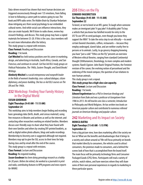Data-driven research has shown that most human decisions are triggered unconsciously through over 135 emotions, from falling in love to following a career path to nations going to war. The book and NPR radio series *The Hidden Brain* by Shankar Vedantam draw intriguing arcs from social psychology to our embedded cultural norms. And while social cues influence interactions, they also can create hazards. We'll listen to radio shows, review key research findings, and discuss. This study group may have a copied materials fee between \$5-20. If this is the case, class members will be sent more information after the lottery.

This study group is a repeat with revisions. **Class Format:** Reading and Discussion

**Reading:** 1 hr/week.

*Carl Weichel has held various positions over his career in marketing, design, and advertising in Australia, South Africa, Canada, and San Francisco, and continues to consult. Carl has led OLLI study groups on Political Polarization, The 1960s, Eastern Thought, and David Brooks' Writings.*

*Kimberly Weichel is a social entrepreneur and nonprofit leader in the fields of women's leadership, cross-cultural dialogue, citizen diplomacy, and peace-building. She has co-led OLLI courses on The UN and The 1960s.*

# **232** Workshop: Finding Your Family History in the Digital World

#### **SUSAN GOODMAN Eight Thursdays (9:45 AM - 11:15 AM) September 24**

This workshop aims to help members begin finding and recording basic genealogy data (birth, death, and census material); using free resources in libraries and archives as well as the internet; and contacting other researchers working on related families. Members discuss user-friendly ways to share what they have found with their own families and others by creating DIY-printed booklets, as well as digital online photo albums, blogs and audio recordings. Membership to Ancestry.com is suggested although not required. Members may opt to give the SGL access to their trees for help during class and by email after the end of the course. This study group is a repeat with revisions.

**Class Format:** Lecture and Discussion

**Reading:** No required reading.

*Susan Goodman has been doing genealogy research as a hobby for 20 years. Before she retired, she worked as a journalist in print and radio, contributing features to NPR programs and news reports for WAMU.*

#### **235** Ethics on the Fly **EDWARD INGEBRETSEN Six Thursdays (9:45 AM - 11:15 AM)**

#### **September 22**

To kneel, or not to kneel at an NFL game; To laugh when someone makes an immigrant joke? A gay joke? A disability joke? To buy a vehicle that you know has falsified records for entry to the US? To use UPS to send packages, even though you know they support the NRA? To take the extra step to eat ethically—to avoid certain favored chocolates, coffees, restaurants—because they employ underaged, slaved-labor, and are neither cruelty free to persons or to animals. Lastly, to go grocery shopping knowing you have "just a cold." "Ethics on the Fly" presents an overview of Western ethical theories, ranging from standard Continental thought (Utilitarianism, Deontology, to more complex and modern systems: Rand's Egoism: John Rawls' Original Position, the Feminist revision of the canon; the evolving notion of personhood and the widening of the moral compass; the question of our relations to non-human animals.

This study group is not a repeat.

*This study group has a high class size capacity.* **Class Format:** Lecture and Discussion **Reading:** 1 hr/week.

*Edward Ingebretsen has a PhD in American theology and Literature from Duke and was a professor at Georgetown from 1986 to 2013. He still teaches one class a semester, Introduction to Philosophy and World Religions. He has written two books on American popular culture and contributed to numerous refereed journals on American theology and popular culture.*

#### **242** Marketing and Its Impact on Society **MONICA BATRA Eight Tuesdays (11:45 AM - 1:15 PM) September 22**

From a big picture view, how does marketing affect the society we live in? What are the benefits and disadvantages that it brings to a society and culture around us? We will focus primarily on brands that market directly to consumers, the vehicles used to attract consumers, the promises made to consumers, and a behind the scenes look of how that is accomplished from the brand itself. The main focus will be primarily technology firms and Consumer Packaged Goods (CPG) firms. Participants will read a variety of articles, watch videos, and have exercises where they will share some of their own personal experiences in regards to marketing in these particular spaces.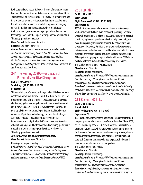Each class will take a specific look at the role of marketing in our lives and the mechanisms marketers use to become relevant to us. Topics that will be covered include: the overview of marketing and its pros and cons on the society around us, brand development, the role of market research in brand development, messaging of brands, marketing mix messages (or how brands reach their consumers), consumer packaged goods branding vs. the technology space, and the impact of the pandemic on marketing. This study group is not a repeat.

#### **Class Format:** Lecture and Discussion **Reading:** Less than 1 hr/week.

*Monica Batra is a market research consultant who has worked at CPG companies including Procter & Gamble, Clorox and Andrew Jergens, and a variety of technology start ups and B2B firms. Monica has taught and guest lectured at various graduate and undergraduate marketing courses at UC Berkeley, UCLA, University of San Francisco, and Kent State.*

# **244** The Roaring 2020s—A Decade of Potentially Positive Disruption

#### **ROBERT KOLODNEY Ten Fridays (11:45 AM - 1:15 PM) September 25**

This decade is one of enormous change and will likely determine whether or not we will survive—and, if so, how we will live. The three components of the course: 1. *Challenges* (such as poverty elimination, global warming abatement, good education) as set out in the 2030 goals of the UN; 2. *Developments* (particularly new rapidly improving technologies like artificial intelligence, networks, 3D printing, biotechnology) to meet the challenges; 3. Personal Impact—possible political/governmental improvements (e.g. digitized and efficient government service, coherent planning), and better health and wellbeing (particularly through anti-aging technology and positive psychology). This study group is not a repeat.

#### *This study group has a high class size capacity.*

**Class Format:** Lecture and Discussion **Reading:** No required reading.

*Bob Kolodney is currently an angel investor and OLLI Study Group Leader, after having been (in reverse order): a serial entrepreneur, a manager, a consultant, a lawyer, and a graduate school teaching assistant (educated at Harvard/Columbia Law School/INSEAD).*

## **250** TED Talks

#### **CAROLINE MINDEL LYNN LEWIS Eight Tuesdays (9:45 AM - 11:15 AM) September 22**

TED Talks feature speakers who expose audiences to cutting-edge work across diverse fields: in short, ideas worth spreading. This study group will focus on 16 talks related to issues that matter, from personal growth, aging, humanity, and innovation to society, community, and more. During our highly interactive sessions, the class will view and discuss two talks weekly. Participants are encouraged to preview the talks in advance. Individual members will be asked (on a volunteer basis) to prepare brief background and discussion points for each presenter. Although this study group is a repeat, all talks will be new. TED Talks are available on the Internet and public radio, among other outlets. This study group is a repeat with revisions.

**Class Format:** Discussion

**Reading:** No required reading.

*Caroline Mindel has a BA and an MSW in community organization from the University of Pennsylvania. She founded Mindel Management, Inc., a property management business in DC. Lynn Lewis received an undergraduate degree from the University of Michigan and has an MA in journalism from Ohio State University. She has been a writer and an editor for more than four decades.*

# **251** Recent TED Talks

#### **CAROLINE MINDEL DIANE SWAN Eight Fridays (9:45 AM - 11:15 AM) September 25**

TED (Technology, Entertainment, and Design) conferences feature a range of speakers who present "Ideas Worth Spreading." Since 2007, an ever-expanding body of TED Talk videos has been available on the internet. Each class will feature two talks, with ample time left for discussion. Common themes have been society, science, climate change, medicine, technology, and individual development and potential. Class members may volunteer to prepare background information and discussion points for speakers.

This study group is not a repeat.

#### **Class Format:** Discussion

#### **Reading:** No required reading.

*Caroline Mindel has a BA and an MSW in community organization from the University of Pennsylvania. She founded Mindel Management, Inc., a property management business in DC. Diane Swan taught English, worked as a Defense Department analyst, and developed training courses for various federal agencies.*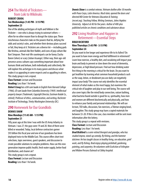# **254** The World of Tricksters from Loki to Wikileaks

#### **ROBERT CROOG Ten Wednesdays (1:45 PM - 3:15 PM) September 23**

One of the abiding archetypes of myth and folklore is the Trickster—one who is always trying to outsmart others often for no other reason than to disrupt the status quo. These mischievous characters take on the powers that be, defying the odds and society's rules, and whether their devious plans succeed or fail, they keep at it. Tricksters are a diverse lot—including gods like Krishna, animals like Brer Rabbit, and icons of pop culture like Bart Simpson. Their real-life counterparts can be funny (Sacha Baron Cohen) or scary (Julian Assange). Either way, their age-old presence across cultures says something important about how humans think and behave, both individually and collectively. We will explore this archetype in its many guises and discuss what makes it so appealing in some respects and so appalling in others. This study group is not a repeat.

**Class Format:** Lecture and Discussion **Reading:** Less than 1 hr/week.

*Robert Croog has a BA* cum laude *in English from Harvard College (1966); JD* cum laude *from Columbia University (1969). Intellectual property lawyer (Trademark, Copyright Director, Eastman Kodak Co., retired); Professor of ethics, communication, and writing, Rochester Institute of Technology, Trinity Washington University (DC).*

# **290** Homework for Our Grandkids

#### **DENNIS SHAW Nine Mondays (11:45 AM - 1:15 PM) September 21**

Fifty years ago at this time I was with the US Army Infantry in Vietnam. I was 27; the guys were 19 and 20. Nine of them were killed or wounded. Today, local defense contractors garner \$93 billion this fiscal year and one of our grandsons has been deployed twice to the Middle East. This course offers short text selections, topic overviews, guest speakers, and discussion to create possible solutions to complex problems. How can this new generation improve public health, fresh water supply, better food distribution, and cleaner air? This study group is not a repeat. **Class Format:** Lecture and Discussion **Reading:** Less than 1 hr/week.

*Dennis Shaw is a combat veteran, Vietnam draftee after 30 months with Peace Corps, Latin America. Much later, opened the doors and directed MD Center for Veterans Education & Training [\(mcvet.org](https://urldefense.proofpoint.com/v2/url?u=http-3A__mcvet.org&d=DwMFaQ&c=U0G0XJAMhEk_X0GAGzCL7Q&r=Ch2lLsWzZOwOnZ3cQJuHCrZ2Qc2tDs461pgqZFakwvs&m=uo9hA7_prbh_Jl8odNrhYuBFjWSwrOta3EZaRcNxn6Q&s=SG3UiXz6bAlKS0htxag6bjLbf_Cse-aj1x7mHVH0BMc&e=)). Teaching Fellow, Writing Seminars, Johns Hopkins University. Adjunct at AU for five years. Author of 400-plus published articles on chronic conditions and substance abuse.*

# **292** Living Healthier and Happier in Retirement—Essential Steps

#### **BRAD BICKFORD Nine Thursdays (1:45 PM - 3:15 PM) September 24**

Do you want to live longer and experience life to its fullest? Do you want to have more energy and find fulfillment in retirement? Learn how exercise, a healthy diet, and socializing will impact your brain and body to prevent or slow down the onset of dementia, depression, or high blood pressure. Find out how drinking water first thing in the morning is critical for the brain. Do you want to get healthier by learning what common household products such as the soap, lotion, or deodorant you use daily can negatively impact your body? The course not only identifies the essential element of what makes us the most happy, but examines the critical role of laughter and play in our well being. The course will also cover topics like the mind/body connection, nature bathing, what bacteria found outside is good for us, spirituality, how men and women are different biochemically and physically, and how to enhance your family and personal relationships. We will use lecture, TED talks, discussion, fun exercises, a Tibetan singing bowl, and laughter. This study group may have a copied materials fee between \$5-20. If this is the case, class members will be sent more information after the lottery.

This study group is a repeat with revisions.

**Class Format:** Lecture and Discussion

**Reading:** Less than 1 hr/week.

*Brad Bickford is a semi-retired therapist and grandpa, who has studied improv, stand-up comedy, fly fishing, and the hammer dulcimer. He has taught classes in healthy living, sex education, grief work, and fly fishing. Brad enjoys playing pickleball, gardening, painting, and carpentry. He volunteers with EcoAction of Arlington and Widow Persons Outreach at Sibley hospital.*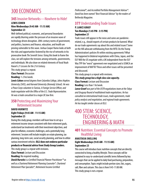# 300 ECONOMICS

# **345** Invasive Networks--Nowhere to Hide!

#### **LEWIS COHEN**

#### **Nine Wednesdays (9:45 AM - 11:15 AM) September 23**

Well-defined political, economic, and personal boundaries are rapidly blurring under the pressure of an invasive wave of technology driven disruption. 20th-century norms of government, and politics, business and finance, education, and health are proving vulnerable to this wave. Joshua Cooper Ramo looks at both the risks and opportunities fostered by the rise of networks in his provocative book *The Seventh Sense.* Using this book to frame the class, we will explore the tensions among networks, governments, and individuals. We also draw on related elements of Yuval Noah Harari's *21 Lessons for the 21st Century.*

This study group is a repeat.

**Class Format:** Discussion

**Reading:** 1-2 hrs/week.

*Lewis Cohen earned degrees from Columbia College, Johns Hopkins University (SAIS), and Harvard University (Kennedy School). He was a Peace Corps volunteer in Tunisia, A Foreign Service Officer, and trade negotiator with the Office of the U.S. Trade Representative. He was a trade consultant to a major DC law firm.*

# **350** Protecting and Maximizing Your Retirement Income

#### **DAVID HURWITZ Eight Fridays (9:45 AM - 11:15 AM) September 25**

During this study group, members will learn how to set up a retirement income stream consistent with their retirement goals, understand tax treatments with their investment objectives, and plan for inflation, economic challenges, and a potentially long retirement. Sessions will include insights on estate planning, tax planning, long-term care, social security planning, and how to utilize various investment vehicles. **OLLI does not endorse particular products or financial advice from Study Group Leaders.**

This study group is a repeat with revisions.

**Class Format:** Lecture and Discussion

**Reading:** No required reading.

*David Hurwitz is a Certified Financial Planner Practitioner™ as well as a Chartered Retirement Planning Counselor®, Chartered Retirement Plan Specialist®, Retirement Income Certified* 

*Professional®, and Accredited Portfolio Management Advisor®. David has been named "Best Financial Advisor" by the readers of*  Bethesda Magazine.

# **377 Understanding Trade Issues**

#### **P. LANCE GRAEF Ten Mondays (1:45 PM - 3:15 PM) September 21**

Trade issues still appear in the news and some are pandemicrelated, e.g., should exports of certain products be banned. What do our trade agreements say about this and related issues? Some on the Hill advocate withdrawing from the WTO. Do the Trump Administration's policies fit within existing agreements? What has happened in bilateral negotiations with China, Japan, and the EU? Will the US negotiate with a UK independent from the EU? Was TPP the "worst" agreement ever negotiated and is USMCA an improvement of NAFTA? These and other issues will be presented and discussed.

This study group is a repeat with revisions.

*This study group has a high class size capacity.* **Class Format:** Lecture and Discussion **Reading:** Less than 1 hr/week.

*Lance Graef was part of the USTR negotiations team at the Tokyo and Uruguay Round of multilateral trade negotiations. He has consulted on international trade issues, trade agreements, trade policy analysis and negotiation, and regional trade agreements. He has taught similar classes at OLLI.*

# 400 STEM: SCIENCE, TECHNOLOGY, ENGINEERING & MATH

# **401** Nutrition: Essential Concepts to Promote Healthful Living

#### **ANASTASIA SNELLING Eight Wednesdays (9:45 AM - 11:15 AM) September 23**

This course will introduce basic nutrition concepts that are directly connected to living a healthy lifestyle. These concepts will be explained in easy-to-understand scientific terms followed by key messages that can be applied to daily food purchasing, preparation, and consumption. Topics might include portion sizes; fats, sugars, salt; fiber and calcium. This class is from 9:45-11:00 AM. This study group is not a repeat.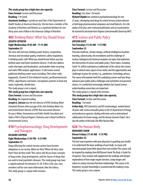#### *This study group has a high class size capacity.* **Class Format:** Lecture and Discussion

**Reading:** 1 hr/week.

*Anastasia Snelling is a professor and Chair of the Department of Health Studies at American University. She has been a member of the Academy of Nutrition and Dietetics as a registered dietitian for over thirty years and a fellow in the American College of Nutrition.*

## **403** Drinking Water: What You Should Know **JOSEPH COTRUVO**

#### **Eight Wednesdays (9:45 AM - 11:15 AM) September 23**

The class will overview drinking water history, composition, chemical and microbial quality, treatment, safety regulations. Is drinking water safe? What you should know before you buy bottled water and home treatment devices. It will also address water shortages and desalination, and potable water recycling, and water DNA analysis applications. It will review several publicized drinking water issues including: Flint (what really happened), Chrome VI (*Erin Brokovich* movie), perfluorochemicals (PFAS), algal blooms and toxins, microplastic particles in food and water, legionella, disinfection.

This study group is not a repeat.

*This study group has a high class size capacity.*

**Class Format:** Lecture and Discussion

**Reading:** No required reading.

*Joseph A. Cotruvo was the first director of EPA's Drinking Water Standards Division after passage of the Safe Drinking Water Act, and retired former Director of EPA's Risk Assessment Division. He was a Water, Environment and Public Health Consultant and holds a PhD in Physical Organic Chemistry and is Board Certified in Environmental Science.*

# **410** Psychopharmacology: Drug Development and Therapies

#### **RICHARD CHIPKIN Eight Wednesdays (1:45 PM - 3:15 PM) September 23**

Drugs affecting the central nervous system have become ubiquitous in our society. What are they? Where do they come from? How do they work? This course will discuss basic concepts of drug action, drug development, and the classes of drugs that are used to treat psychiatric diseases. This study group may have a copied materials fee between \$5-20. If this is the case, class members will be sent more information after the lottery. This study group is a repeat with revisions.

#### **Class Format:** Lecture and Discussion **Reading:** Less than 1 hr/week.

*Richard Chipkin has worked in psychopharmacology for over 25 years, developing novel drugs for central nervous system diseases at both large pharmaceutical companies and small biotechs. He is the author of 60-plus, peer-reviewed publications and six issued patents. He received his doctorate from Virginia Commonwealth University/MCV.*

# **415** Science and Public Policy

#### **ARTHUR KATZ Ten Tuesdays (11:45 AM - 1:15 PM) September 22**

Precision medicine, climate change, artificial intelligence/machine learning, cybersecurity, the microbiome and the challenge of nuclear, biological and chemical weapons are topics that epitomize the intersection of science and public policy. These topics, including Covid-19, will be examined as emblematic of the critical role science plays in almost every aspect of our world, and the opportunities and challenges it poses for society, e.g., pandemics, technology, privacy. The course will examine both the underlying science and how those advances pose public policy challenges and sometimes real personal choices. In a world that increasingly sidelines fact-based science understanding connections are important.

This study group is a repeat with revisions.

#### *This study group has a high class size capacity.* **Class Format:** Lecture and Discussion

**Reading:** 1 hr/week.

*Arthur Katz, PhD (chemistry) and MS (meteorology), worked almost 40 years with science and public policy in the US Department of Energy and predecessor agencies, dealing with areas such as international collaboration for fusion energy, and the Human Genome Project. He is also the author of the book* Life After Nuclear War.

# **426** The Human Body

#### **MARJORIE SHAW Eleven Fridays (11:45 AM - 1:15 PM) September 25**

The best way to partner with your physician in guarding your health is to understand the basic workings of your body. So many well educated people know little about their own insides! This course will be inspired by readings from Bill Bryson's book *The Body: A Guide For Occupants.* Class sessions will supplement the readings with deeper explanations of how major organs function, using images and videos to convey structure/function relationships. This course is for beginners; no prior knowledge is assumed and the reading is easy. This study group is not a repeat.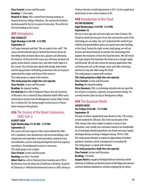**Class Format:** Lecture and Discussion **Reading:** 1-2 hrs/week.

*Marjorie D. Shaw, PhD, is retired from teaching anatomy at Howard University College of Medicine. She received the freshman teaching award for her last six years of instruction. This will be her first time leading an OLLI course.*

## **435** Astrophysics

#### **ERIC KEARSLEY Eight Mondays (1:45 PM - 3:15 PM) September 21**

Carl Sagan famously said that, "We are made of star-stuff." This course will describe the physics behind that famous phrase by describing what we know about stars, galaxies and ultimately, the universe. At the end of the course you will know all about red giants, brown dwarfs, neutron stars, and other exotic objects in the cosmos. You will also learn about dark energy, dark matter, and the big questions confronting astronomers who are trying to understand the origins and future of the universe.

This study group is a repeat with revisions.

#### *This study group has a high class size capacity.*

**Class Format:** Lecture and Discussion **Reading:** No required reading.

*Eric Kearsley has a PhD in Radiation Physics from the University of Wisconsin. He is a retired US Navy Radiation Health Officer and a retired physics teacher from the Montgomery County Public Schools. He is a veteran OLLI SGL having taught several courses in Physics before moving to Pennsylvania.*

## **436** The Science of the Novel Coronavirus, SARS-CoV-2

#### **ALBERT CHEH Eight Wednesdays (11:45 AM - 1:15 PM) September 23**

This course will cover aspects of the science behind the SARS-CoV-2 pandemic: basic biochemistry and structural biology; viral components and replication; viral inactivation; testing for virus and antibodies; vaccine and drug development and viral sequence surveillance. No background in science is necessary.

This study group is not a repeat.

**Class Format:** Lecture and Discussion **Reading:** Less than 1 hr/week.

*Albert Cheh has a BA in Chemistry from Columbia and a PhD in Biochemistry from the University of California at Berkeley. He joined AU Chemistry in 1980 and Environmental Science in 2009, retiring as*  *Professor Emeritus in both departments in 2017. He has taught basic biochemistry to non-science students at AU.*

# **440** Introduction to the Cloud

#### **VICTOR REZMOVIC Eight Wednesdays (1:45 PM - 3:15 PM) September 23**

We use it every day, but we're not really sure what it means. The Cloud has slowly become part of our lives and touches much of the technology we use today. You can't understand the world of your children and grandchildren unless you spend some time dwelling in this Cloud. During this eight-session study group, we will use lectures and demonstrations to examine the terminology that explains the mechanics of how the Cloud functions. We will review the major players that dominate the Cloud such as Google, Apple, and Microsoft. We will also review the primary applications that are being used such as file storage, music and video streaming, and how to stay safe while using the Cloud.

This study group is a repeat with revisions.

*This study group has a high class size capacity.*

**Class Format:** Lecture and Discussion

**Reading:** No required reading.

*Victor Rezmovic, PhD, is a technology educator who has spent the last 30 years in academic, corporate, and government settings. He currently teaches Cyber Security at Montgomery College.*

# **444** The Quantum World

#### **JACQUES READ Ten Fridays (9:45 AM - 11:15 AM) September 25**

The laws of nature explained by Isaac Newton in the 17th century served mankind for 200 years. But in the last decades of the 19th century, they were unable to explain an array of new discoveries, and a totally new mechanics based on an inexplicable set of seemingly absurd propositions was found necessary, largely developed during meetings in Belgium during 1924 to 1928. This study group attempts to impart an appreciation of modern quantum mechanics and its consequences to everyday life. This study group is a repeat with revisions.

#### *This study group has a high class size capacity.* **Class Format:** Lecture and Discussion

**Reading:** 1 hr/week.

*Jacques Read has taught at Fairleigh Dickinson University and the University of California, performed research at Oak Ridge and Lawrence Livermore National Laboratories, and been employed by the Atomic*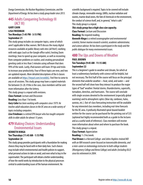*Energy Commission, the Nuclear Regulatory Commission, and the Department of Energy. He has been a study group leader since 2013.*

# **445** Adults Conquering Technology III (ACT III)

#### **GARY CAHN LISA FRIEDMAN Ten Mondays (1:45 PM - 3:15 PM) September 21**

This study group includes six computer topics, some of which aren't applicable to Mac owners. We'll discuss the many digital resources available at public library web sites (all free!); working with web apps (such as the Google office suite); hosting Zoom meetings; how to speed up your computer, as well as recovering from computer problems or crashes; and creating personalized greeting cards in less than 5 minutes using software that does 99% of the work. Lastly, iPad owners will learn 39 tips and tricks to increase your productivity. Four of these topics are new, and two are updated repeats. More detailed descriptions of the 6 classes are available at [https://tinyurl.com/wvw66h2](https://urldefense.proofpoint.com/v2/url?u=https-3A__tinyurl.com_wvw66h2&d=DwMFaQ&c=U0G0XJAMhEk_X0GAGzCL7Q&r=Ch2lLsWzZOwOnZ3cQJuHCrZ2Qc2tDs461pgqZFakwvs&m=GrJ3ZQVT30qvr7zBtdW5ij2095AcLwYdEJkrFhdAHOg&s=A-3ZPaqGKVBQA9yU7PkDsiFzZ56taw6fgdJ8ycPXMJ0&e=). Feel free to come to any or all sessions. This study group may have a copied materials fee between \$5-20. If this is the case, class members will be sent more information after the lottery.

This study group is a repeat with revisions.

**Class Format:** Lecture and Discussion

**Reading:** Less than 1 hr/week.

*Gary Cahn has been working with computers since 1979. He teaches adult education classes in the DC area on a wide variety of topics including computers.*

*Lisa Friedman is a retired EPA lawyer who has taught computer skills to older adults for almost 15 years.*

# **479** Making Choices: Understanding Environmental Issues

#### **KENNETH HINGA Ten Thursdays (11:45 AM - 1:15 PM) September 24**

This study group provides participants with a foundation for making choices they may be faced with in their daily lives. Such choices may include which environmental and health policies to support, what personal actions to take or avoid, and even what to buy in the supermarket. The participant will obtain a better understanding of how the world works by introduction to the physical processes central to understanding issues of the human environment. No

scientific background is required. Topics to be covered will include: climate change, renewable energy, GMOs, nuclear radiation and wastes, marine dead zones, the fate of chemicals in the environment, the conduct of science itself, and, in general, "what is safe." This study group is a repeat.

#### *This study group has a high class size capacity.* **Class Format:** Lecture and Discussion

**Reading:** No required reading.

*Kenneth Hinga is a retired oceanographer and environmental scientist, former marine research scientist, academic administrator, and science advisor. He has been a participant in the study and the public dialogue for many environmental issues.*

#### **480** The Ups and Downs of Weather **PAUL BROWN Ten Tuesdays (9:45 AM - 11:15 AM) September 22**

This is a beginner's guide to weather and climate, for which at least a rudimentary familiarity with science will be helpful, but not necessary. The first half of the course will focus on the principal elements that underlie weather—heat, wind, and water—and the second half will show how they interact to produce the major types of "bad" weather: frontal storms, thunderstorms, supercells, tornadoes, derechos, and hurricanes. The course will conclude with single sessions devoted to the environment (especially global warming) and to atmospheric optics (blue sky, rainbows, halos, auroras, etc.). Out-of-class forecasting instruction will be available for any interested class members, including real-time forecasts for the DC area. A profusely illustrated spiral-bound booklet written for the course can be purchased for the printing cost of \$35 (optional but highly recommended both as a guide to the lectures and as a useful work of reference). Class members will receive more information about when and where to purchase the book. This study group is a repeat.

#### **Class Format:** Appreciation

**Reading:** 1-2 hrs/week.

*Paul Brown is a Harvard College- and Johns Hopkins-trained MD with an NIH research career focused on transmissible dementia, and a mini-career as meteorology instructor to both college students (Montgomery College and Berea College) and adults (including OLLI) since his retirement in 2004.*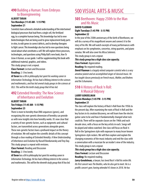# **490** Building a Human: From Embryos to Bioengineering

#### **ALBERT TARAN Ten Mondays (11:45 AM - 1:15 PM) September 21**

Scientists have achieved a detailed understanding of the intertwined biological processes that lead from a single cell, the fertilized egg, to a complete human being. This knowledge has led to new biotechnologies that are being used to grow replacement body parts in vitro, to edit genes to correct defects, and to develop therapies to fight cancer. This knowledge also has led to new questions being raised about what constitutes a self. We will explore these processes, technologies, and questions using Philip Ball's new book, *How To Grow A Human,* as our guide. I will be supplementing this book with additional material, graphics, and videos.

This study group is not a repeat.

**Class Format:** Lecture and Discussion

**Reading:** 2-3 hrs/week.

*Al Taran has a BA in philosophy but spent his working career in Information Technology. He has had a lifelong interest in the sciences and mathematics, and has led several study groups in the sciences at OLLI. This will be the tenth study group that Al has led.*

## **492** Extended Heredity: The New Science of Inheritance and Evolution

#### **ALBERT TARAN Ten Fridays (11:45 AM - 1:15 PM) September 25**

There is more to heredity than DNA sequences (genes), and recognizing this non-genetic dimension of heredity can provide us with new insights into how heredity works. It's now clear that a variety of non-genetic factors, such as epigenetic and cultural factors, are transmitted across generations alongside genes. These non-genetic factors have a profound impact on the theory of evolution. We will explore the scientific details of this concept through a close reading of *Extended Heredity: A New Understanding of Inheritance and Evolution* by Russell Bonduriansky and Troy Day. This study group is a repeat with revisions.

**Class Format:** Reading and Discussion

**Reading:** 2-3 hrs/week.

*Al Taran has a BA in philosophy but spent his working career in Information Technology. He has had a lifelong interest in the sciences and mathematics. This will be the eleventh study group that Al has led.*

# 500 VISUAL ARTS & MUSIC

# **505** Beethoven: Happy 250th to the Man and His Music

## **DAVID FLAXMAN Eight Tuesdays (1:45 PM - 3:15 PM)**

#### **September 22**

In the year of the 250th anniversary of the birth of Beethoven, we will do a survey of his magnificent oeuvre and connect it to the story of his life. We will watch excerpts of many performances with emphasis on his symphonies, concertos, string quartets, and piano sonatas. We will also cover his *Missa Solemnis.* 

This study group is not a repeat.

#### *This study group has a high class size capacity.* **Class Format:** Appreciation

**Reading:** No required reading.

*David Flaxman is a largely retired computer scientist who is a very amateur pianist and an accomplished singer of classical music. He has taught classes previously on French music, Mahler, and Brahms and the Schumanns.*

# **510** A History of Rock 'n Roll: A Musical Odyssey

#### **LARRY GONDELMAN Eleven Mondays (1:45 PM - 3:15 PM) September 21**

The class will explore the history of Rock 'n Roll from the 1950s to the present day. After examining the roots of Rock 'n Roll and the key factors in its creation/discovery, we will learn how the electric guitar came to be and how it fundamentally changed what rock could do. There will be separate classes on the 1960s and each decade since, with a focus on the key artists in each. Songs will be played and videos watched. One class will focus on Rock 'n Roll in the Springsteen style with exposure to many lesser known Springsteen-style rockers. We will then explore and explain the changing economics of the music industry and end the class with a conversation with a musician for an insider's view of the industry. This study group is not a repeat.

#### *This study group has a high class size capacity.* **Class Format:** Lecture and Discussion

**Reading:** No required reading.

*Larry Gondelman, a lawyer, has loved Rock 'n Roll his entire life. His first concert was The Beatles, who he also got to meet. He is a prolific concert-goer, having attended 43 shows in 2018. He has*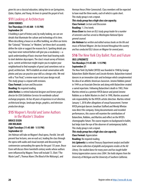*given his son a classical education, taking him to see Springsteen, Dylan, Clapton, and Young. He loves to spread the gospel of rock.*

# **511** Looking at Architecture

#### **JOHN VORHES Ten Thursdays (11:45 AM - 1:15 PM) September 24**

A building is part of history and, by really looking, we can see details that illuminate the culture and technology of its time. When describing a house or an office building, we often use terms like "Colonial," "Victorian," or "Modern," yet these don't accurately define the style or suggest the reasons for it. Spotting details you may have never noticed before will give you a vocabulary—a quick understanding of basic structure from load-bearing walls to steel skeleton skyscrapers. The class's visual survey of historic up to current architecture might inspire you to explore your neighborhood to find examples of great (and sometimes not so great) architecture. We'll establish an email conversation with photos and you can practice your skill as a design critic. We end with a "Fun Final," a review exam to test your design recall. This study group is a repeat with revisions.

**Class Format:** Lecture and Discussion

**Reading:** No required reading.

*John Vorhes is a retired industrial designer and former project director for USIA Exhibition Services for worldwide cultural exchange programs. He has 40 years of experience in art direction, architectural design, landscape design, graphics, and television production design.*

# **515** Wagner's *Parsifal* and Some Authors in the Master's Shadow

#### **BRUCE EISEN JIM HOLMAN Eight Tuesdays (11:45 AM - 1:15 PM) September 22**

Jim Holman will take on Wagner's final opera, *Parsifal*. Jim will present four lectures, one on each act, leading the class through the opera with audio and visual excerpts and discussing the controversies surrounding the opera for the past 135 years. Bruce Eisen will discuss three twentieth century works whose authors were influenced by Wagner. These will include T.S. Eliot ("The Waste Land"), Thomas Mann (*The Blood of the Walsungs*), and

Herman Hesse (*Peter Camenzind*). Class members will be expected to have read the three works, each of which is quite short. This study group is not a repeat.

# *This study group has a high class size capacity.*

**Class Format:** Lecture and Discussion

**Reading:** 1-2 hrs/week.

*Bruce Eisen has been an OLLI study group leader for a number of semesters and has served as Washington National Opera general counsel.*

*Jim Holman has written and edited various books on the life and music of Richard Wagner. Jim has lectured throughout the country and has conducted OLLI classes on Wagner for several years.* 

#### **516** The New York City Ballet: Past and Future **IRIS LIPKOWITZ Ten Mondays (11:45 AM - 1:15 PM) September 21**

The New York City Ballet (NYCB) was founded in 1948 by George Balanchine (Ballet Master) and Lincoln Kirstein. Balanchine trained dancers in an innovative style and technique which complemented his idea of an athletic American classicism. Jerome Robbins joined in 1949 as an Associate Director and along with Balanchine created a varied repertoire. Following Balanchine's death in 1983, Peter Martins retired as a premier NYCB dancer and joined Jerome Robbins as co-Ballet Masters in chief. In 1990, Martins assumed sole responsibility for the NYCB's artistic direction. Martins retired January 1, 2018 after allegations of sexual harassment. Former NYCB principal dancers Jonathan Stafford and Wendy Whelan now direct the company. Using documentaries and recorded performances, this course will examine the contributions of Balanchine, Robbins, and Martins and reflect on the NYCB's choreographic future. The course requires no background in ballet, but helps train the eye of the observer of contemporary ballet. This study group is not a repeat.

#### *This study group has a high class size capacity.*

**Class Format:** Appreciation

**Reading:** No required reading.

*Iris Lipkowitz is a retired Treasury Department analyst and ballet lover whose collection of playbills and programs resides at the AU Library. She studied dance for many years and has taught ballet history/appreciation courses since 2004. She holds degrees from the University of Michigan and the University of Southern California.*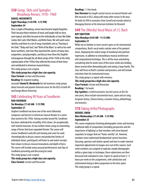# **530** Songs, Skits and Spangles: Broadway Revues, 1910–1960

#### **DANIEL MOSKOWITZ Eight Thursdays (1:45 PM - 3:15 PM) September 24**

Once a staple of Broadway, revues have become largely forgotten. That's because these mixtures of music and laughs told no story, were topical, and often focused on the individuality of stars like Eddie Cantor, Bert Lahr, Ethel Waters, and Bette Davis. We will watch some sketches and listen to a lot of songs (standards such as "Dancing in the Dark," "Body and Soul," and "Birth of the Blues" as well as less well know worthies), note how they launched the careers of many stars, songwriters, and playwrights, and discuss how (from the Ziegfeld extravaganzas through the all-Black romps of the 1920s to the witty sophistication of the 1950s) they reflected the tenor of their times and contributed to American musical history.

This study group is not a repeat.

*This study group has a high class size capacity.* **Class Format:** Lecture and Discussion **Reading:** No required reading.

*Journalist Daniel B. Moskowitz has led numerous study groups about musicals and popular American music for the OLLIs at both AU and George Mason University.*

# **545** Celebrating 90 Years of Sondheim

#### **DAN SHERMAN Six Mondays (11:45 AM - 1:15 PM) September 21**

Stephen Sondheim has been one of the most influential composers and lyricists in American musical theater in a career that started in the 1950s. Having recently turned 90, Sondheim has been celebrated for versatility of his shows. An exceptionally well-trained musician, he has written shows using an astonishing range of forms that have expanded theater. The course will review Sondheim's early life and training and cover his work chronologically to discuss sources and production history of individual shows; participants will listen to and watch excerpts from shows to discuss musical innovations and depth of lyrics. The course will include many unusual performances and clips of Sondheim presenting and discussing his work.

This study group is not a repeat.

*This study group has a high class size capacity.* **Class Format:** Lecture and Discussion

#### **Reading:** 1-2 hrs/week.

*Dan Sherman has taught several courses on musical theater and film musicals at OLLI, along with many other venues in the area. He holds his PhD in economics from Cornell and recently retired as Managing Director at the American Institutes for Research.*

#### **549** The (Mostly) Vocal Music of J.S. Bach **RAY SQUITIERI**

#### **Nine Mondays (9:45 AM - 11:15 AM) September 21**

While not as familiar to most concert-goers as his instrumental compositions, Bach's vocal works contain some of his greatest music, displaying the widest range of emotional and spiritual expression, in addition to extraordinary musical architecture and compositional technique. This is all the more astonishing considering that he wrote most of this music while also holding down several other demanding jobs and raising a large family. This class will focus on Bach's cantatas and passions, and will include selections from his instrumental music.

This study group is a repeat with revisions.

*This study group has a high class size capacity.* **Class Format:** Lecture and Discussion

**Reading:** 1 hr/week.

*Ray Squitieri, a retired economist, has led courses at OLLI for nine years; these include instrumental music, opera and art song, European history, Chinese history, economic history, philanthropy, and acoustics.*

# **570** Taking Artful Photographs

#### **WENDEL SWAN Nine Wednesdays (11:45 AM - 1:15 PM) September 23**

This course emphasizes fostering photographic vision and learning traditional skills of composition (including perspective and the importance of lighting) so that members will move beyond snapshots to images that are "frame-worthy" art. However, members must understand fundamental camera functions (focusing, aperture and shutter speed) and how to make minimal important adjustments to images once out of the camera. Each week members are assigned to replicate sample photographs within a given topic or technique; those submissions are then discussed and evaluated in class. Expect to spend at least 2–4 hours per week on the assignments, with satisfaction and achievement being in direct proportion to the time spent. This study group is a repeat.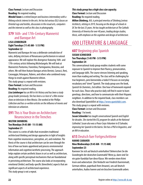**Class Format:** Lecture and Discussion **Reading:** No required reading.

*Wendel Swan is a retired lawyer and business intermediary with a lifelong eclectic interest in the arts. He has led various OLLI classes on Oriental rugs and textiles, discussions in the visual arts, computers and the internet as well as this class in photography.*

# **579** 16th- and 17th-Century Mannerist and Baroque Art

#### **LISA LEINBERGER Eight Tuesdays (11:45 AM - 1:15 PM) September 22**

Mannerist and Baroque Art was a deliberate contradiction of rules, defying strictures of Renaissance perfectionism in natural appearance. We will explore this divergence featuring 16th- and 17th-century artists following Michelangelo. We will look at Mannerists Pontormo, Fiorentino, Parmigianino, Bronzino, and others. We will then feature Baroque artists Bernini, Carracci, Reni, Caravaggio, Velasquez, Rubens, and others who combined many things to revolt against Mannerist elitism.

This study group is a repeat with revisions.

**Class Format:** Lecture and Discussion

**Reading:** No required reading.

*Lisa Leinberger has an MA in Art History and has been a study group leader previously. She has been a co-host of a film review show on television in New Mexico. She worked at the Phillips Collection and has co-written articles on the influence of movies and television on urbanism.*

# **591** This is Your Brain on Architecture: Neuroscience in the Trenches

#### **MILTON SHINBERG Ten Mondays (9:45 AM - 11:15 AM) September 21**

This course is a series of talks that reconsiders traditional architectural thinking and design approaches in light of insights from cognitive neuroscience, perception, art, and evolution. The thesis of the course is that architecture can be seen through the lens of how our brains apprehend and process environmental information and cognitive/aesthetic processing. The approach helps explain certain aesthetic biases in art as well as architecture, along with specific perceptual mechanisms that are foundational in perceiving architecture. The course also looks at incorporating emotional (limbic) and body-specific (kinesthetic) aspects that are significant aspects of architectural experience. This study group is not a repeat.

#### *This study group has a high class size capacity.* **Class Format:** Lecture and Discussion **Reading: No required reading.**

*Milton Shinberg, AIA, is principal emeritus of Shinberg.Levinas Architects, retiring in 2019, focusing on the design of schools in DC for the last 25 years. He has taught architecture at The Catholic University of America for over 40 years, leading design studios, thesis, with emphasis on the cognition and design of architecture.*

# 600 LITERATURE & LANGUAGE

#### **607** Beginning-plus Spanish **SUSAN SCHNEIDER Ten Thursdays (1:45 PM - 3:15 PM) September 24**

This conversational study group enables students with some exposure to Spanish to improve their fluency, pronunciation, and language skills. The course stresses listening and speaking, more than reading and writing. The class will be challenging for true beginners, pero bienvenidos a todos! It focuses on everyday vocabulary and "street" Spanish. The study group uses the book, *Spanish for Dummies, 2nd edition*. One hour of homework required for each class. Those who practice daily will find it easier to learn greetings, directions, and how to communicate with their Hispanic neighbors. In addition to the required book, class members can also download SpanishDict at [https://www.spanishdict.com.](https://www.spanishdict.com) This study group is a repeat with revisions.

**Class Format:** Lecture and Discussion

**Reading:** 1 hr/week.

*Susan Schneider has taught conversational Spanish and English for decades. She started the ESL program for adults at the National Cathedral. Susan also was a Peace Corps Volunteer in El Salvador, improving her Spanish in the barrio. She has a PhD in linguistics, and an MA in education.*

# **615** Deutsch fuer Fortgeschrittene

#### **HANNE CARAHER Nine Wednesdays (9:45 AM - 11:15 AM) September 23**

Koennen Sie sich auf deutsch unterhalten? Beherrschen Sie die Grundregeln der deutschen Grammatik? Wenn ja, dann sind Sie ein guter Kandidat fuer diese Klasse. Wir werden einen Krimi lesen und uebersetzen (Der Verdacht von Friedrich Duerrenmatt, German edition, paperback from Amazon), uns auf deutsch unterhalten, Audios hoeren und ein bisschen Grammatik ueben.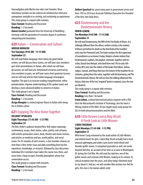Hausaufgaben jede Woche eine oder zwei Stunden. Neue Teilnehmer werden vor der Lotterie ein telefonisches Interview untergehen; deshalb ist es wichtig, sich rechtzeitig zu registrieren. This study group is a repeat with revisions.

**Class Format:** Reading and Discussion **Reading:** 1-2 hrs/week.

*Hanne Caraher graduated from the University of Heidelberg, Germany, with the equivalent of a masters degree in conference interpreting and translation.*

# **620** Italian—Conversation and Culture

#### **ARRIGO MONGINI Ten Tuesdays (9:45 AM - 11:15 AM) September 22**

We will read Italian language short stories by great Italian writers; we will discuss these stories, we will have class members give short presentations in Italian, after which we will have discussion; we will have pre-determined scenarios acted out by class members in pairs; we will have some short grammar lessons; and we will read articles from Italian language newspapers together. The goal is to increase reading comprehension, refine pronunciation, improve understanding of the spoken word, and develop a more advanced ability to converse in Italian. This study group is not a repeat.

**Class Format:** Reading and Discussion

**Reading:** 1-2 hrs/week.

*Arrigo Mongini is a retired engineer fluent in Italian with strong ties to Italian culture.*

# **621** Enjoying *The New Yorker* Together

#### **DELBERT SPURLOCK Eight Thursdays (11:45 AM - 1:15 PM) September 24**

*The New Yorker*'s audience beyond New York enjoys reportage, commentary, essays, short stories, satire, poetry, and cartoons, with artistic provocative covers, book, theater and movie reviews, and articles on medicine and law, world politics, and social issues. For 45 minutes of each session, a class member chooses an item from a *New Yorker* issue and adds something from his/her experience, knowledge, or research, followed by class discussion. Individual OLLI members have taken the course two, three, and more times. Enjoy an open, friendly atmosphere where true conversation occurs.

This study group is a repeat with revisions. **Class Format:** Reading and Discussion **Reading:** 1-2 hrs/week.

*Delbert Spurlock has spent many years in government service and from 1993 to 2010 was Associate Publisher/Executive Vice President of the New York Daily News.*

# **625** Deuteronomy and the Deuteronomistic History

#### **IRWIN LEBOW Ten Mondays (9:45 AM - 11:15 AM) September 21**

We will read Deuteronomy, the fifth of the Five Books of Moses. It is strikingly different from the others, written mostly as the orations of Moses just before his death on the threshold of the Israelites' entry into the Promised Land. The book contains the first expression of monotheism as we know it today. Modern scholars believe that Deuteronomy's authors, the prophet, Jeremiah, together with his scribe, Baruch ben Neriyah, who lived from mid-7th to early-6thcentury BCE were also the editors of the books that follow: Joshua, Judges, Samuel, and Kings that trace the history of the Israelites for six centuries, giving them the name, together with Deuteronomy, and The Deuteronomistic History. We will see how the editing influenced this history. Only one of the two "required" books is required, since the two are identical.

This study group is a repeat with revisions.

**Class Format:** Reading and Discussion

**Reading:** Less than 1 hr/week.

*Irwin Lebow, a retired telecommunications engineer with a PhD from the Massachusetts Institute of Technology, also has been a lifelong student of the Bible. He has taught many study groups for OLLI in both telecommunications and the Bible.*

# **630** Little Known Louisa May Alcott: A Fresh Look at *Little Women*

#### **LINDA FREEMAN Eight Mondays (11:45 AM - 1:15 PM) September 21**

Who knew? Long esteemed as the staid author of *Little Women* and related novels for girls, Louisa May Alcott actually had a most unusual upbringing and under a pen name wrote blood-andthunder gothic novels. A competent journalist as well, she wrote *Hospital Sketches,* an account of her time as a nurse in Washington, DC during the Civil War. We will read the sketches, one of the gothic novels and (re)read *Little Women*, looking at its context, its critical reception over the years, and what today's feminists have to say about it. And yes, we will consider film versions too. Not for girls, this class is for mature adults only!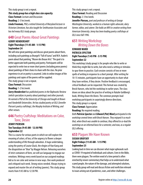This study group is not a repeat. *This study group has a high class size capacity.* **Class Format:** Lecture and Discussion **Reading:** 2-3 hrs/week. *Linda Freeman, PhD, a retired University of Maryland lecturer in Victorian Literature, has also taught for Smithsonian Associates and has led many OLLI study groups.*

# **640** Great Poems About Great Paintings

#### **GERRY HENDERSHOT Eight Thursdays (11:45 AM - 1:15 PM) September 24**

We will view great paintings and discuss great poems about them, including such paintings as Bruegel's "Fall of Icarus" and W.H. Auden's poem about that painting, "Musee des Beaux Arts." The goal is to better appreciate both painting and poetry. Participants will be expected to write two or more short poems (including prose poems) about paintings of their choice to share with the class. No prior experience in art or poetry is assumed. Links to online images of the paintings and copies of the poems will be supplied.

This study group is not a repeat.

**Class Format:** Discussion

#### **Reading:** 1-2 hrs/week.

*Gerry Hendershot has published poems in the* Ekphrastic Review *(which specializes in poetry about paintings) and other journals. He earned a PhD at the University of Chicago and taught at Brown and Vanderbilt Universities. He has studied poetry at OLLI (Jennifer Pierson's poetry craftshop), the Murphy Institute of Writing, and other venues.*

# **646** Poetry Craftshop: Meditations on Color, Tone, Desire

#### **JENNY PIERSON Ten Tuesdays (9:45 AM - 12:30 PM) September 22**

This is a course for serious poets in which we will explore the meaning of colors; of loss; of the urgency to flower a deeper understanding of life through adoration. A huge undertaking, using the poetry of Louise Gluck, the elegies of Han Kang and the disquisition on "blue" by Maggie Nelson. Releasing ourselves of strict containers of form, we will use language to engage our emotions. Writings every week based on our assigned readings bid us to see color and sorrow in new ways. One work produced and critiqued each week. Strong voices needed. Always trying to expand and master the art of writing (poems). This study group meets from 9:45 AM to 12:30 PM.

This study group is not a repeat. **Class Format:** Reading and Discussion **Reading:** 2-3 hrs/week.

*Jennifer Pierson, poet and professor of writing at George Washington University, worked as a human rights advocate, dairy farmer, editor, and caterer. She holds an MFA in creative writing from American University. Jenny has been leading poetry craftshops at OLLI since fall 1996.*

# **651** Writing Workshop: *Writing Down the Bones*

#### **EDWARD WARD PATRICIA SPECTOR Eight Tuesdays (1:45 PM - 3:15 PM) September 22**

This workshop (study group) is for people who like to write or think they might like to write, but who need a setting or stimulus to spur them to practice. Each session consists of two or more spells of writing in response to a short prompt. After writing for 10-15 minutes, participants have an opportunity to share what they have written, if they desire. Positive feedback is encouraged, critical feedback can be requested. This format was created by Brock Hansen, who led the workshop in earlier years. The class draws on ideas about the practice of writing in Natalie Goldberg's book, *Writing Down the Bones.* The common prompts lead workshop participants in surprisingly diverse directions. This study group is a repeat.

**Class Format:** Appreciation

**Reading:** No required reading.

*Both Patricia Spector and Edward (Pat) Ward participated in the workshop several times with Brock Hansen. They enjoyed it so much that, when Brock was unable to continue, they offered to co-lead the workshop on an informal basis for a semester, and now, as a regular OLLI offering.*

# **653** Plagues We Have Known

#### **SUSAN UROFSKY Eight Fridays (11:45 AM - 1:15 PM) September 25**

Looking back in time we can discover what major upheavals such as COVID-19 required of individuals and cultures. Even in the Bible, there were plagues. The written word of a time period is often enriched by newer commentary that helps us to understand what scared people, the nature of the damage, and attempted solutions, This study group will read and discuss fiction and nonfiction relevant to issues arising out of pandemics, wars, and other challenges.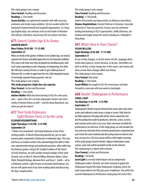This study group is not a repeat. **Class Format:** Reading and Discussion **Reading:** 2-3 hrs/week.

*Susan Urofsky is an experienced evaluator with skills necessary to discover and resolve major problems. She has worked within the framework of governmental and nonprofit organizations. As a longago English major, she continues to be an avid reader of literature that informs, entertains, and portrays life set in places and times.*

# **671** Greece's Golden Age & Its Drama

#### **ANDREW WHITE Nine Fridays (9:45 AM - 11:15 AM) September 25**

When we think of the glories of Athens in its Golden Age, we tend to separate the history and philosophy from its rich dramatic tradition. This course will show how they all played out simultaneously, with each camp responding to and critiquing, or lampooning, the other. We will read a variety of texts, in order to get a fuller picture of Athenian life, in order to appreciate the rich, fully integrated nature of seemingly separate literary pursuits. Join us!

This study group is not a repeat.

*This study group has a high class size capacity.*

**Class Format:** Lecture and Discussion

**Reading:** 1-2 hrs/week.

*Andrew Walker White has been teaching at OLLI for a few years now—quite a few. He is an actor, playwright, theatre critic and a scholar of theatre history as well—ask him about Byzantium, too, when you get the chance!*

# **677** Their Emily Dickinsons: Eight Women Poets Lit by Her Lamp

#### **ELEANOR HEGINBOTHAM Eight Thursdays (1:45 PM - 3:15 PM) September 24**

"I think I was enchanted," said Emily Dickinson of one of her writing models. As Barrett Browning dazzled her, just so, later women poets responded to Dickinson in individual ways. This class will focus on modern writers who acknowledged the debt in their own experimental energy and profound questions, often reflecting the Amherst genius. Using R.W. Franklin's edition of *The Poems of Emily Dickinson,* we will consider xeroxed samples of the work of poets such as Edna St. Vincent Millay, Marianne Moore, Sylvia Plath, Elizabeth Bishop, Adrienne Rich, and Tracy C. Smith—all in a Dickinson context. Light lectures on prosody and Dickinson, yes, but we will spend most of our time reading aloud and discussing the day's sample poems.

This study group is not a repeat. **Class Format:** Reading and Discussion

**Reading:** 1-2 hrs/week.

*Author of two books and many articles on Dickinson (and others), Eleanor Heginbotham, Emerita Professor of Literature, Concordia University St. Paul, has spent the 14 years since her retirement leading and learning in OLLI's opportunities. Unlike Dickinson, she traveled and taught around the world, including on a Fulbright to Hong Kong.*

# **681** What's New in Short Stories?

#### **SUSAN WILLENS Eight Mondays (9:45 AM - 11:15 AM) September 21**

As our society changes, so do the stories we tell. Language alters, events burst upon us, terrors increase, as do joys. Storytellers are alert to all this, so they change too. In this course, new stories will show us how these changes affect new fiction.

This study group is not a repeat.

**Class Format:** Discussion

**Reading:** 2-3 hrs/week.

*Susan Willens has taught at OLLI for several years and looks forward to a new year with new works to investigate.*

# **688** *Hamlet:* Shakespeare in Performance

#### **CAROL LIGHT Ten Mondays (1:45 PM - 3:15 PM) September 21**

Shakespeare's *Hamlet* may be immortal but comes alive only when actors and audiences meet across a stage or screen. Only then do we fully experience the play with all the choices about the text and the production made by producers, directors, actors, scenery and costume artists and, in our case, those who have recorded the performances we will view. In this study group, we will consider the text and view selections from numerous productions comparing how each treats the same material and discussing what we observe and how we react to it. The last session will be a full-length screening of the study group's favorite *Hamlet*. Adjunct information (some serious, some not) will be provided mostly via the internet. This study group is a repeat with revisions.

**Class Format:** Lecture and Discussion

#### **Reading:** 1 hr/week.

*Carol Light is a mostly retired lawyer and an unrepentant Shakespeare addict. Recently, she's been learning to appreciate Shakespeare beyond the Royal Shakespeare Company, which she holds responsible for her fifty plus years of addiction. This will be the seventh Shakespeare in Performance study group she's led at OLLI.*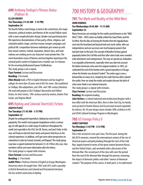# **690** Anthony Trollope's *Phineas Redux*  (Palliser 4)

#### **ELLEN MOODY Ten Thursdays (11:45 AM - 1:15 PM) September 24**

The fourth Palliser novel brings us back to the central hero, the major characters, political matters and themes of the second Palliser novel with a more complicated plot-design, bleaker and questioning tone. We experience dramatizations of how party, ethnic, religious, and colonialist politics shape, and how money corrupts campaigns and political life. Competition between individuals gets mixed up with how sexual customs; marital, separation, divorce laws, and male violence are working out in our characters' more private lives. The novel dramatizes issues of fairness and investigative reporting in the criminal justice system in England over a murder case. It is famous for the recurring disillusioned lawyer Chaffanbrass.

This study group is not a repeat.

**Class Format:** Lecture and Discussion

#### **Reading:** 2 hrs/week.

*Ellen Moody holds a PhD in English literature and has taught in colleges for more than 30 years and at OLLI for seven. She's published on Trollope, film adaptations, and 18th- and 19th-century literature. She read with people at OLLI Trollope's Barsetshire and Palliser fiction, his short stories, 19th-century novels by women, Booker Prize novels, and Virginia Woolf.*

#### **695** Kipling and Colonial Short(ish) Fiction **JUDITH PLOTZ**

#### **Ten Tuesdays (11:45 AM - 1:15 PM) September 22**

Despite his undisguised imperialism, Kipling has never lost his popularity. The world's most popular Anglophone writer a century ago, he still appeals to a wide range of audiences throughout the world, but especially in the USA, the UK, Russia, and (yes!) India. In this class we'll look at selected short stories and poems that focus on the colonial experience. In addition, we'll get some other perspectives on colonialism in tales by Conrad, Gerould, and Naipaul. This study group may have a copied materials fee between \$5-20. If this is the case, class members will be sent more information after the lottery.

This study group is a repeat with revisions.

**Class Format:** Lecture and Discussion

**Reading:** 2-3 hrs/week.

*Judith Plotz is Professor Emerita of English at George Washington University where she taught from 1965 until 2012 with a specialty in British Romanticism and Colonial and Postcolonial Literature. She has written extensively on Kipling.*

# 700 HISTORY & GEOGRAPHY

# **701** The Myth and Reality of the Wild West

#### **JOHN VORHES Ten Wednesdays (9:45 AM - 11:15 AM) September 23**

Many Americans are nostalgic for the mythic period known as the "Wild West" (1865–1895) when we boldly settled the Great Plains and the Far West. But the idea of moving the frontier from the Appalachians west into the heartland and beyond took root much earlier, after our independence and our successes over rival European powers that had laid claim to the land. The concept of Manifest Destiny gained popularity before the Civil War and then after when trails were crowded with adventurers and entrepreneurs. The way we spread our civilization is an arguable achievement, especially when you take into account the Native Americans who were the original residents. In 1893, we celebrated the end of the frontier with a grand exposition in Chicago where the frontier was declared "ended." The entire saga is now a beloved blur to many of us, shaded by the myth that has often colored the reality. Here we study the reality and maybe discover the birth of what some think is our national character.

This study group is a repeat with revisions.

**Class Format:** Lecture and Discussion

**Reading:** No required reading.

*John Vorhes is a retired industrial and architectural designer with a love affair with the American West. Born in New York City, his family roots go back to frontier Kansas and his personal research expanded his interest. His 50-year design career includes SOM, architects in NY, and USIA's Cultural Exchange Program in Washington.*

#### **703** US Foreign Policy II **JAMES NATHAN Ten Mondays (1:45 PM - 3:15 PM) September 21**

This is the second of a two-part class. The first part, during the fall 2019 semester, covered the international context of the rise of American power and policymaking through the start of the Cold War, largely framed in terms of the great contest between Russia and the United States, and concluded with a discussion of the Vietnam War. This second part of the class will cover the period from the end of the Vietnam War through the present, reviewing the impact of domestic politics and other "sources of American conduct." The purpose of this course, in both parts, is to understand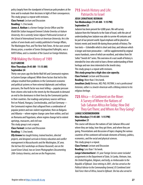policy largely from the standpoint of American policymakers at the time and to evaluate their decisions in light of their consequences. This study group is a repeat with revisions.

**Class Format:** Lecture and Discussion **Reading:** 1-2 hrs/week.

*James A. Nathan is a former Foreign Service Officer and the Khalid Bin Sultan Inaugural Eminent Scholar Emeritus at Auburn University. He is currently Senior Adjunct Professorial Lecturer at the School of International Service at American University. He is the author of seven books and is widely published in* Foreign Affairs, The Washington Post, *and* The New York Times. *He has won several literary prizes, a number of Senior Distinguished Fulbrights, was a NATO Fellow, and is a member of the Council on Foreign Relations.*

# **710** Making the History of 1989 **ELLY GREENE**

#### **Nine Thursdays (9:45 AM - 11:15 AM) September 24**

Thirty-one years ago the Berlin Wall fell and Communist regimes in Eastern Europe collapsed. While three factors that led to this collapse resulted from problems in the Communist economic and political systems or from external diplomatic and military pressures, the fourth factor was most telling—popular pressure from citizens who took to the streets by the thousands to demand an end to the dominance in their lives by the Communist parties in their countries. Our readings and primary sources will focus first on Poland, Hungary, Czechoslovakia, and East Germany the Communist regimes that collapsed from a combination of popular protest and non-violent negotiation; then on Bulgaria and Albania—where regime change came from within; and last on Romania and Yugoslavia, where regime change led to violent uprisings, massacres, and civil war.

This study group is not a repeat.

**Class Format:** Lecture and Discussion

**Reading:** 1-2 hrs/week.

*Elly Greene has taught history, trained teachers, directed projects, and designed curricula in history education and conflict management in Massachusetts and the Washington, DC area. She led two OLLI workshops on Eleanor Roosevelt, one on the Laurel Grove School, two on Seven Photographers Documenting 20th-Century America, and one on the Progressives.*

# **715** Jewish History and Life: Patriarchs to Israel

#### **JOSH (JONATHAN) BERMAN Ten Wednesdays (11:45 AM - 1:15 PM) September 23**

Judaism has been present for 4,000 years. We will survey Judaism from the Patriarchs to the State of Israel, with the aim of understanding how Judaism was able to survive 40 centuries and be part of our present world. Equal emphasis will be placed on historic events and Jewish life during those periods of history. The two texts—Scheindlin which is short and clear, and Johnson which is longer and more provocative—will be supplemented by original source handouts, some of which are excellent, and videos from Ori Soltes' "Jewish Art" series. This overview of a vast swath of history is intended for Jews who wish to have a firmer understanding of their heritage and non-Jews interested in the Jewish story. This study group is a repeat with revisions.

*This study group has a high class size capacity.* **Class Format:** Lecture and Discussion

**Reading:** More than 3 hrs/week.

*Jonathan (Josh) Berman, MD, PhD, FASTMH, is not a professional historian, rather is a Jewish-American with a lifelong interest in his religious heritage.*

# **725** Africa—A Continent on the Move: A Survey of Where the Nations of Sub-Saharan Africa Are Today; How Did They Get There; and Where Are They Going?

#### **LANGE SCHERMERHORN Nine Mondays (11:45 AM - 1:15 PM) September 21**

This course will discuss the nations of Sub-Saharan Africa and where they are today, how they got there, and where they are going. Presentations and discussion of topics shaping the various countries of the continent will include elements of history, politics, economics, and the social and physical sciences.

This study group is a repeat.

**Class Format:** Lecture and Discussion

**Reading:** Less than 1 hr/week.

*Lange Schermerhorn's35-year Foreign Service career included assignments in the Department of State, Sri Lanka, Vietnam, Iran, the United Kingdom, Belgium, and lastly, as Ambassador to the Republic of Djibouti. Since retiring in 2001, she has served as the Political Advisor to the Commanding General, US Combined Joint Task Force-Horn of Africa, based in Djibouti. She has also served in*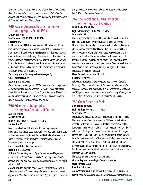*temporary embassy assignments, consulted in Egypt, Somaliland, Djibouti, Afghanistan, and Ethiopia, and observed elections in Nigeria, Somaliland, and Kenya. She is a graduate of Mount Holyoke College and the National War College.*

## **740** Race in America: Reconstruction to Voting Rights Act of 1965

#### **KAREN STEWART Ten Thursdays (9:45 AM - 11:15 AM) September 24**

In this course we will follow the struggle of this nation to finish its revolution of racial equality begun in 1863 with the Emancipation Proclamation. Through lecture, outside reading, and discussion we will examine the uneven path through Reconstruction, redemption, Jim Crow, and the civil rights movement that leads to our present. We will look at the forces and individuals who have moved us forward as well as the counterforces and individuals who have moved us backwards. This study group is not a repeat.

*This study group has a high class size capacity.*

**Class Format:** Lecture

**Reading:** 1-2 hrs/week.

*Karen Stewart has taught at OLLI for three years. She is a graduate of Barnard College and the University of North Carolina School of Public Health. She served as a Peace Corps Volunteer in Malawi and Congo. She retired from Westat where she was an epidemiologist conducting social science and health research.*

# **746** Prisoners of Geography: History in a Geopolitical Context

#### **ALBERT TARAN MARION CONNELL Nine Wednesdays (11:45 AM - 1:15 PM)**

**September 23**

Leaders of all nation-states are constrained by geography: mountains, rivers, seas, deserts, natural resources, climate. This class will examine several regions of the world in that context and revisit some key historic events impacted by the region's geography. This study group is not a repeat.

#### **Class Format:** Reading and Discussion

#### **Reading:** 1-2 hrs/week.

*Al Taran has a BA in philosophy but spent his working career in Information Technology. He has had a lifelong interest in the sciences and mathematics, and has led several study groups in the sciences at OLLI.*

*Marion Connell graduated from Mount Holyoke College with an AB degree in political science and philosophy. Marion has a master's degree in public administration plus over 30 years experience in local,*  *state, and federal government. She has lectured in the School of Public Affairs at American University.*

# **747** The Social and Cultural Impacts of the Theory of Evolution

#### **JOHN PARASCANDOLA Eight Wednesdays (1:45 PM - 3:15 PM) September 23**

The theory of evolution is one of the foundation blocks of modern biological science. But evolution's reach extends far beyond biology. It has influenced social science, politics, religion, literature, philosophy and other fields of knowledge. This course will begin with a look at the origins of Darwin's theory of evolution and the reaction to it, but will focus primarily on the broader impact of the theory on society, including issues of Social Darwinism, race, eugenics, creationism, and intelligent design. The course will involve PowerPoint lectures, readings, film clips, and group discussion. This study group is not a repeat.

**Class Format:** Lecture and Discussion **Reading:** 1-2 hrs/week.

*John Parascandola has a PhD in the history of science from the University of Wisconsin-Madison. He has served as a historian in the federal government and on the faculty of the Universities of Wisconsin and Maryland (where he taught a course on the history of biology). He is the author of several books and has taught five OLLI classes.*

# **750** Great American Trials

#### **ARNOLD LEIBOWITZ Eight Fridays (9:45 AM - 11:15 AM) September 25**

This course will present a series of lectures on eight major trials. The cases include five that are new to OLLI and three that are repeats. The lectures will place the trial in historical and political context so the importance of the case can be seen more clearly. We will discuss the legal tactics and the personalities of the lawyer, prosecutors, and defendants. Trials discussed in this seminar will include: the Assassination of President McKinley, the Assassination of President Garfield, the Ulysses Book Custody trial, Hahn vs. Duveen (Leonardo de Vinci painting), the Infanticide Trial of Nancy Randolph, the Aaron Burr trial, the trial of John Service, and the Lindberg Kidnapping case.

This study group is a repeat with revisions.

*This study group has a high class size capacity.* **Class Format:** Lecture

**Reading:** 1 hr/week.

*Arnold Leibowitz is an attorney in Washington, DC, in practice for over 40 years. His special interests are major social and political trends.*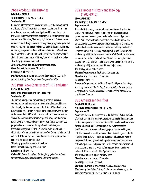## **766** Herodotus: The Histories

#### **DAVID PALMETER Ten Tuesdays (1:45 PM - 3:15 PM) September 22**

Herodotus is the "Father of History," as well as (in the view of some) the "Father of Lies." The discipline of history begins with him—his is the first known systematic investigation of the past. He tells of the Greeks' victory over the formidable forces of Persian kings Darius and Xerxes at Marathon, Thermopylae, Salamis, and Plataea. He also includes extended digressions on ethnography, geography, gods, and gossip. Since this master storyteller invented the discipline of history, no century has passed without a historian to record it. We will read and discuss the Landmark edition of *The Histories* to learn what it is about this work that makes it "history" and why it is still read today. This study group is not a repeat.

*This study group has a high class size capacity.* **Class Format:** Lecture and Discussion

**Reading:** 2-3 hrs/week.

*David Palmeter, a retired lawyer, has been leading OLLI study groups in history, literature, and philosophy since 2008.*

## **773** Paris Peace Conference of 1919 and After

#### **RICHARD PALMER Eleven Wednesdays (1:45 PM - 3:15 PM) September 23**

Though we have passed the centenary of the Paris Peace Conference, other hundredth-anniversaries of dreadful history stirred up by the Conference are notable in 2020 and will be in future years. After briefly reviewing the exhausted war situation at the November 1918 Armistice, we'll address the momentous "Peace" Conference, in which revenge and arrogance launched forces driving to renewed war, and Utopian fantasies energized perpetual crises seen even today. We will read Margaret MacMillan's magisterial *Paris 1919* while contemplating her elucidation of what came in train thereafter. Other useful material will be distributed by email. Members of the study group should expect to be highly participative.

This study group is a repeat with revisions.

**Class Format:** Reading and Discussion

**Reading:** 2-3 hrs/week.

*Richard R. Palmer is a retired Washington psychiatrist with an interest in history; he has led several OLLI study groups.*

# **782** European History and Ideology (1900-1940)

#### **LEONARD KING Ten Fridays (11:45 AM - 1:15 PM) September 25**

The early 20th century saw both the culmination and destruction of the 19th-century power of Europe, the promise of European hegemony over the world, and the hope for peace and progress. World War I, a war without a rational cause and with unforeseen consequences, destroyed the confidence in progress and spurred on the Russian Revolution and Nazism. After establishing the basis of European power in the ideologies of capitalism and liberalism, this study group will introduce the reactions to World War I: socialism and communism, the Russian Revolution, Weimar Germany, Freudian psychology, existentialism, and Nazism. Given the limits of time, this study group will just be a survey of these major issues. This study group is not a repeat.

*This study group has a high class size capacity.* **Class Format:** Lecture and Discussion **Reading:** 1 hr/week.

*Leonard King taught at the Maret School for 43 years, including a year-long course on 20th Century Europe, which is the basis of this study group. At OLLI, he has taught courses on Film, Nonviolence, and Moral Dilemmas.*

# **786** America in the Fifties

#### **CANDACE THURMAN Nine Wednesdays (1:45 PM - 3:15 PM) September 23**

Many historians use the term "boom" to illustrate the 1950s in a variety of ways: The flourishing economy, the record-setting birthrate, and the fearful consequence of nuclear war. Some OLLI members will remember the era; others will not. This study group reviews that decade's significant historical events and trends, popular culture, politics, and fads. The approach in weekly sessions is thematic and augmented with lots of optional material—selected readings, and audio and video of the period. This study group is highly participatory. Members compare different experiences and perspectives of the decade; with this in mind, we ask each member to provide his/her age and living situation on October 4, 1957—the date of the Sputnik launch. This study group is a repeat with revisions.

**Class Format:** Lecture and Discussion

**Reading:** Less than 1 hr/week.

*Candace Thurman is a retired social studies teacher in the Montgomery County Public Schools; she was born in Pennsylvania soon after Sputnik. This is her third OLLI study group.*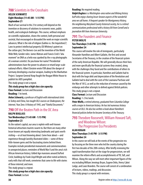# **788** Scientists in the Crosshairs

#### **HELEN SCHWARTZ Eight Mondays (11:45 AM - 1:15 PM) September 21**

Much of our survival in the 21st century will depend on the invention or discovery of solutions to economic woes, public health, and ecological challenges. This course, without emphasis on scientific explanation, shows the context, both personal and societal, that encouraged or dissuaded the work on major scientific advances; What is the role of religion (Galileo vs. the Inquisition)?; Laws to protect intellectual property (Eli Whitney's patent on the cotton gin); Tim Berners-Lee and the invention of the World Wide Web; Gender roles: James Watson and Francis Crick's "aha moment" on DNA as a helix was sparked by the x-ray photographs of a woman scientist. Do you know her name? Presidential administrations have the power to advance or retard large-scale national efforts: Albert Einstein wrote FDR about the danger of Germany developing a nuclear weapon, leading to the Manhattan Project. Surgeon General Koop fought the Reagan White House to publish his AIDS pamphlet.

This study group is not a repeat.

*This study group has a high class size capacity.*

**Class Format:** Lecture and Discussion

**Reading:** 1 hr/week.

*Helen Schwartz, a professor of English with international stints in Turkey and China, has taught OLLI courses on Shakespeare, the Internet,* Year Zero: A History of 1945, *and "Fateful Documents."*

# **790** Off the Beaten Path in the DC Area **RALPH BUGLASS**

#### **Ten Wednesdays (11:45 AM - 1:15 PM) September 23**

As the nation's capital, our area is replete with well-known historical attractions tourists swarm to. But there are many other lesser known yet equally interesting landmarks and spots worth visiting—or at least knowing about. Come hear about—and experience through lavishly illustrated slides—some of these little-known gems and the fascinating stories behind them. Examples include presidential monuments and commemoratives in unexpected places; reminders of World War II and the area's rich African American history; Gilded Age mansions around DuPont Circle; buildings by Frank Lloyd Wright and other noted architects; early mills that still work; cemeteries that come to life with stories of those interred; and more.

This study group is a repeat. *This study group has a high class size capacity.* **Class Format:** Lecture

#### **Reading:** No required reading.

*Ralph Buglass is a Washington-area native and lifelong history buff who enjoys sharing lesser-known aspects of the wonderful area we call home. A frequent speaker for Montgomery History, the neighboring Maryland County historical society, he is a retired communications professional with a history BA from Cornell and a journalism MA from American University.*

#### **791** The Founders and Finance **PETER WOLFE Ten Thursdays (1:45 PM - 3:15 PM)**

#### **September 24**

This course will involve the role of immigrants, particularly Alexander Hamilton and Albert Gallatin, the first and second Secretaries of the Treasury, in the creation of the financial system of the early American Republic. We will generally discuss their lives and more specifically the financial systems they created, along with the challenges they faced and the contributions of others to the financial system. In particular, Hamilton and Gallatin had to deal with the huge debt and depreciation of the Revolution and Gallatin had to deal with the costs of the Louisiana Purchase and the War of 1812, as well as the reduction of revenue caused by the embargo and other attempts to defend against British policies. This study group is not a repeat.

**Class Format:** Lecture and Discussion

**Reading:** 1-2 hrs/week.

*Peter Wolfe, a retired attorney, graduated from Columbia College with a major in American history. He has led numerous history courses at OLLI. He also has written a book about Hamilton's financial policies before he became Secretary of the Treasury.*

# **793** Theodore Roosevelt, William Howard Taft, and Woodrow Wilson: The Progressive Era Presidents

#### **ALAN KOGAN Nine Thursdays (1:45 PM - 3:15 PM) September 24**

In this course we will look at the events of the progressive era by focusing on the three men who led the country during the first two decades of the 20th century. After briefly reviewing the rapid transformation that set the stage for progressivism, we will examine the reform efforts and accomplishments of TR, Taft, and Wilson. Along the way we will meet other important figures of the era including William Jennings Bryan, Eugene Debs, Henry Cabot Lodge, and Louis Brandeis. The course will consist of a combination of lectures, videos, readings, and discussion. This study group is a repeat with revisions.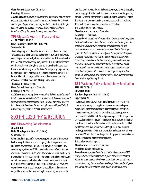**Class Format:** Lecture and Discussion **Reading:** 1 hr/week.

*Alan O. Kogan is a retired psychiatrist and psychiatric administrator who is a history buff. He was educated and trained at the University of Michigan, Wayne State University, and Johns Hopkins. He taught previous OLLI study groups covering American political figures including Wilson, Roosevelt, Truman, and Aaron Burr.*

#### **799** Ulysses S. Grant: In Peace and War **ALLERTON KILBORNE**

#### **Nine Thursdays (11:45 AM - 1:15 PM) September 24**

This study group will follow the life and times of Ulysses S. Grant, "that quiet little feller," as Lincoln described him. Grant's early years were plagued by bad luck, alcoholism, and failure. At the outbreak of the Civil War, he was working as a junior clerk in his father's leathergoods store. Nevertheless, he ended up as Lincoln's choice to lead Union armies to victory in the Civil War. Subsequently, as president, he championed civil rights and, in so doing, broke the power of the Ku Klux Klan. His courage, resilience, and deep-seated humility remained unshaken throughout his ups and downs. This study group is a repeat.

**Class Format:** Reading and Discussion

**Reading:** 1-2 hrs/week.

*Al Kilborne taught history for 40 years in New York City and DC. Beyond the classroom, he has lectured at Georgetown, the National Archives, local historical societies, and Politics and Prose, where he introduced his book,*  Woodley and Its Residents. *His education (Pomona, NYU, and Oxford) was interrupted by stints in Vietnam and the rodeo.*

# 800 PHILOSOPHY & RELIGION

# **805** Discovering Consciousness

#### **JOSEPH REO Eight Mondays (9:45 AM - 11:15 AM) September 21**

When the alarm goes off, do we wake up, or is that the time we go back to sleep. In this vast, ever-changing infinite expanse of time and space, how conscious are you of this mystery called life. How aware are you, of yourself? What is Consciousness? What is it to be conscious? How conscious are you? How would, or could you become more conscious if you so desired? If our brains control our bodies, and our minds manage our brains, who or what manages our minds? How much choice, control, perhaps responsibility, do we have, are we endowed with, or even aware of, or capable of in determining not just how we are, but how we might consciously learn to Be. In

this class we'll explore the myriad ways science, religion, philosophy, psychology, spirituality, creativity, (and one more essential quality), combine with the energy each of us brings to the Alchemical mix as The Observers, to create the fluid experience we call reality. Note: There will be some meditation practice in each class.

This study group is not a repeat.

**Class Format:** Lecture and Discussion **Reading:** 1-2 hrs/week.

*Joseph Reo is a graduate of Arizona State University and completed the Landmark Forum adult education curriculum. He is a graduate of the Pathways Institute, a program of personal growth and consciousness work, and is currently a student in the Pathways graduate studies program. As an adjunct, he taught over ten years in George Washington University's Exercise Science department, instructing classes in meditation, massage, and sports massage. As a voice-over actor he has recorded various meditation tracts and currently teaches meditation and massage at various adulteducation companies. He is a licensed massage therapist with an active, 20-year practice, and currently serves on DC's Department of Health's Massage Therapy Board.*

#### **831** Mastering Skills of Mindfulness Meditation **JEFFREY DROBIS SUSAN DROBIS Ten Tuesdays (9:45 AM - 11:15 AM) September 22**

In this study group you will learn mindfulness skills to rewire your brain to help make you a happier and more compassionate person. Mindfulness enhances our capacity for managing anxiety, stress, intense emotions, and uncertainty, and increases our capacity to experience deep fulfillment. We will primarily practice techniques that we have learned from Shinzen Young to use both in sitting meditation practice and in ordinary life. Sessions will include instruction, guided meditations, and group discussion. Although there is no required reading, participants should plan to practice meditation on their own for at least 10 minutes on most days. This study group is appropriate for both beginners and experienced meditators.

This study group is a repeat.

**Class Format:** Lecture and Discussion **Reading:** No required reading.

*Susan Drobis, a psychotherapist, and Jeffrey Drobis, a retired MD, have practiced meditation for over 25 years. Their teacher Shinzen Young draws on traditional Asian practices but is consciously secular and contemporary. Susan has been teaching mindfulness for 20 years and Jeffrey has led meditation study groups at OLLI since 2015.*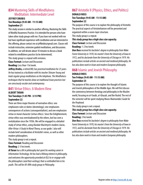# **834** Mastering Skills of Mindfulness Meditation: Intermediate Level

#### **JEFFREY DROBIS**

#### **Ten Mondays (9:45 AM - 11:15 AM) September 21**

This study session is similar to another offering, Mastering the Skills of Mindful Awareness Practice. It is intended for persons who have taken other study groups with me. If you have not worked with me but have significant experience with meditation and are interested in this offering, please contact me at jeffdrobis@gmail.com. Classes will include instruction, extensive guided meditations, and discussions. In addition, we will devote about 10 minutes to discuss a book related to mindfulness practice (to be determined).

This study group is a repeat with revisions.

**Class Format:** Lecture and Discussion

**Reading:** Less than 1 hr/week.

*Jeffrey Drobis, a retired MD, has practiced meditation for 25 years. He has trained as a facilitator with his teacher Shinzen Young and leads regular group meditations on the telephone. The Mindfulness techniques that he teaches draw on traditional Asian practices but are consciously secular and contemporary.*

## **841** Virtue Ethics: A Modern View **ALBERT TARAN Ten Tuesdays (1:45 PM - 3:15 PM)**

#### **September 22**

There are three major theories of normative ethics: one emphasizes rules or duties (deontology); one emphasizes consequences of actions (consequentialism); and one emphasizes virtue or moral character (virtue ethics). Since the Enlightenment, virtue ethics was overshadowed by the others, but has seen a revitalization since the 1950s. We will be engaged in a detailed study of virtue ethics, using Alasdair MacIntyre's modern classic, *After Virtue: A Study In Moral Theory,* as our guide. I also will include brief consideration of Aristotle's views, as well as other modern philosophers.

This study group is not a repeat.

**Class Format:** Reading and Discussion

**Reading:** 2-3 hrs/week.

*Al Taran has a BA in philosophy but spent his working career in Information Technology. He has had a lifelong interest in philosophy, and welcomes the opportunity provided at OLLI to re-engage with the philosophers (and their writings) that so enthralled him in his youth. This will be Al's fifth study group in Philosophy.*

# **867** Aristotle II (Physics, Ethics, and Politics)

#### **DONALD ROSS**

**Ten Tuesdays (9:45 AM - 11:15 AM) September 22**

The purpose of this course is to explore the philosophy of Aristotle. The practical aspects of Aristotelianism will be presented and organized within a seven-layer structure.

This study group is a repeat.

*This study group has a high class size capacity.*

**Class Format:** Lecture and Discussion

**Reading:** 1-2 hrs/week.

*Don Ross received his bachelor's degree in philosophy from Wake Forest University in 1970, his master's from the University of Iowa in 1972, and his doctorate from the University of Chicago in 1979. His publications include articles on ancient and medieval philosophy. He has also done work in Asian and modern European philosophy.*

# **868** Islamic and Jewish Philosophy

#### **DONALD ROSS Ten Fridays (9:45 AM - 11:15 AM) September 25**

The purpose of this course is to explore the thought of Islamic and Jewish philosophers of the Middle Ages. We will first discuss the controversy between theology and philosophy in the Muslim world, focusing on al-Farabi, al-Ghazali, and Ibn Rushd. The rest of the semester will be spent studying Moses Maimonides' *Guide for the Perplexed.*

This study group is not a repeat.

*This study group has a high class size capacity.* **Class Format:** Lecture and Discussion **Reading:** 2 hrs/week.

*Don Ross received his bachelor's degree in philosophy from Wake Forest University in 1970, his master's from the University of Iowa in 1972, and his doctorate from the University of Chicago in 1979. His publications include articles on ancient and medieval philosophy. He has also done work in Asian and modern European philosophy.*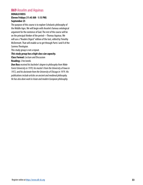# **869** Anselm and Aquinas

#### **DONALD ROSS Eleven Fridays (11:45 AM - 1:15 PM) September 25**

The purpose of this course is to explore Scholastic philosophy of the Middle Ages. We will begin with Anselm's famous ontological argument for the existence of God. The rest of the course will be on the principal thinker of the period—Thomas Aquinas. We will use a "Readers Digest" edition of the text, edited by Timothy McDermott. That will enable us to get through Parts I and II of the *Summa Theologiae.*

This study group is not a repeat.

#### *This study group has a high class size capacity.*

**Class Format:** Lecture and Discussion

**Reading:** 2 hrs/week.

*Don Ross received his bachelor's degree in philosophy from Wake Forest University in 1970, his master's from the University of Iowa in 1972, and his doctorate from the University of Chicago in 1979. His publications include articles on ancient and medieval philosophy. He has also done work in Asian and modern European philosophy.*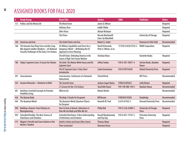|     | <b>Study Group</b>                                                                                                                       | <b>Book Title</b>                                                                                            | <b>Author</b>                               | <b>ISBN</b>          | <b>Publisher</b>                     | <b>Notes</b> |
|-----|------------------------------------------------------------------------------------------------------------------------------------------|--------------------------------------------------------------------------------------------------------------|---------------------------------------------|----------------------|--------------------------------------|--------------|
| 113 | <b>Politics and the Moral Life</b>                                                                                                       | <b>The Moral Sense</b>                                                                                       | James Q. Wilson                             |                      |                                      | Required     |
|     |                                                                                                                                          | <b>Ordinary Vices</b>                                                                                        | <b>Judith Shklar</b>                        |                      |                                      | Required     |
|     |                                                                                                                                          | After Virtue                                                                                                 | Alistair McIntyre                           |                      |                                      | Required     |
|     |                                                                                                                                          | <b>The Prince</b>                                                                                            | Niccolo Machiavelli<br>trans. by Mansfield  |                      | University of Chicago                | Required     |
| 140 | <b>American and Asia</b>                                                                                                                 | The United States and Asia                                                                                   | Robert G. Sutter                            |                      | <b>Rowman &amp; Little Field</b>     | Recommended  |
| 168 | The Eurasian Four Ring Circus and the Long<br>War Against Salafist-Jihadism-US National<br>Security Challenges of the Early 21st Century | US Military Capabilities and Forces for a<br>Dangerous World-Rethinking the US<br>Approach to Force Planning | David Ochmanek,<br>Peter A. Wilson, et al.  | 13 978-0-8330-9742-2 | <b>RAND Corporation</b>              | Required     |
|     |                                                                                                                                          | The Kill Chain: Defending America in the<br><b>Future of High-Tech Future Warfare</b>                        | <b>Christian Brose</b>                      |                      | <b>Hachette Books</b>                | Required     |
| 180 | Today's Supreme Court: A Course for Citizens                                                                                             | The Oath: The Obama White House and the<br>Supreme Court                                                     | Jeffrey Toobin                              | 978-0-307-39071-4    | Anchor Books, Random<br>House        | Required     |
|     |                                                                                                                                          | The US Supreme Court: A Very Short<br><b>Introduction</b>                                                    | Linda Greenhouse                            | 978-0199754540       | <b>Oxford University Press</b>       | Required     |
| 201 | Consciousness                                                                                                                            | Consciousness: Confessions of a Romantic<br>Reductionist                                                     | <b>Christof Koch</b>                        |                      | <b>MIT Press</b>                     | Recommended  |
| 345 | Invasive Networks-Nowhere to Hide!                                                                                                       | The Seventh Sense                                                                                            | Joshua Cooper Ramo                          | 9780316395052        | <b>Little Brown</b>                  | Required     |
|     |                                                                                                                                          | 21 Lessons for the 21st Century                                                                              | <b>Yuval Noh Harari</b>                     | 978-198-480-149-4    | <b>Random House</b>                  | Recommended  |
| 401 | Nutrition: Essential Concepts to Promote<br><b>Healthful Living</b>                                                                      | What to Eat                                                                                                  | <b>Marion Nestle</b>                        |                      |                                      | Recommended  |
| 426 | The Human Body                                                                                                                           | The Body: A Guide For Occupants                                                                              | <b>Bill Bryson</b>                          | 9780385539302        | Doubleday                            | Recommended  |
| 444 | The Quantum World                                                                                                                        | The Quantum World, Quantum Physics<br>for Everyone                                                           | Kenneth W. Ford                             | 0-674-01342-5        | <b>Harvard University Press</b>      | Recommended  |
| 490 | <b>Building a Human: From Embryos to</b><br>Bioengineering                                                                               | How To Grow A Human: Adventures in<br>How We Are Made and Who We Are                                         | <b>Philip Ball</b>                          | 978-0-226-65480-5    | University of Chicago<br>Press       | Required     |
|     | 492 Extended Heredity: The New Science of<br><b>Inheritance and Evolution</b>                                                            | Extended Inheritance: A New Understanding<br>of Inheritance and Evolution                                    | <b>Russell Bonduriansky</b><br>and Troy Day | 978-0-691-15767-2    | <b>Princeton University</b><br>Press | Required     |
| 515 | Wagner's Parsifal and Some Authors in the                                                                                                | Death in Venice and Seven Other Stories                                                                      | <b>Thomas Mann</b>                          |                      |                                      | Required     |
|     | <b>Master's Shadow</b>                                                                                                                   | <b>Peter Camenzind</b>                                                                                       | <b>Hermann Hesse</b>                        |                      |                                      | Required     |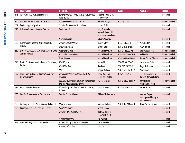| #   | <b>Study Group</b>                                             | <b>Book Title</b>                                                                     | <b>Author</b>                                                      | <b>ISBN</b>       | <b>Publisher</b>                                         | <b>Notes</b> |
|-----|----------------------------------------------------------------|---------------------------------------------------------------------------------------|--------------------------------------------------------------------|-------------------|----------------------------------------------------------|--------------|
| 545 | Celebrating 90 Years of Sondheim                               | Sondheim: Lyrics (Everyman's Library Pocket<br>Poets Series)                          | Stephen Sondheim,<br>Peter Gethers, et al.                         |                   |                                                          | Required     |
| 549 | The (Mostly) Vocal Music of J.S. Bach                          | The Faber Pocket Guide to Bach                                                        | Nicholas Kenyon                                                    | 978-0571233274    |                                                          | Recommended  |
| 607 | Beginning-plus Spanish                                         | Spanish for Dummies, 2nd edition                                                      | Susana Wald                                                        |                   |                                                          | Required     |
| 620 | Italian-Conversation and Culture                               | <b>Undici Novelle</b>                                                                 | Luigi Pirandello,<br>translated and edited<br>by Stanley Applebaum |                   |                                                          | Required     |
|     |                                                                | Racconti Romani                                                                       | Alberto Moravia                                                    |                   |                                                          | Required     |
| 625 | Deuteronomy and the Deuteronomistic                            | The Five Books of Moses                                                               | <b>Robert Alter</b>                                                | 0-393-01955-1     | W.W. Norton                                              | Required     |
|     | History                                                        | The Hebrew Bible                                                                      | <b>Robert Alter</b>                                                | 978-0-393-29249-7 | W.W. Norton                                              | Required     |
| 630 | Little Known Louisa May Alcott: A Fresh Look                   | <b>Hospital Sketches</b>                                                              | Louisa May Alcott                                                  | 978-0-918222-78-7 | <b>Applewood Books</b>                                   | Recommended  |
|     | at Little Women                                                | A Long Fatal Love Chase                                                               | Louisa May Alcott                                                  | 978-0-440-22301-6 | <b>Dell Books</b>                                        | Recommended  |
|     |                                                                | <b>Little Women</b>                                                                   | Louisa May Alcott                                                  | 978-0-393-97614-4 | <b>Norton Critical Edition</b>                           | Recommended  |
| 646 | Poetry Craftshop: Meditations on Color, Tone,<br><b>Desire</b> | The Wild Iris                                                                         | Louise Gluck                                                       | 978-88 001 334-5  | <b>Ecco/Harper Collins</b>                               | Required     |
|     |                                                                | The White Book                                                                        | Han Kang                                                           | 978-525-57306-7   | Hogarth/London                                           | Required     |
|     |                                                                | bluets                                                                                | Maggie Nelson                                                      | 978-1-933517-40-7 | <b>Wave Books</b>                                        | Required     |
| 677 | Their Emily Dickinsons: Eight Women Poets<br>Lit by Her Lamp   | The Poems of Emily Dickinson, Ed. R. W.<br>Franklin                                   | Emily Dickinson,<br>Ed. Ralph Franklin                             | 0-674-67624-6     | The Belknap Press of<br><b>Harvard University Press</b>  | Required     |
|     |                                                                | <b>Our Emily Dickinsons: American Women Poets</b><br>and the Intimacies of Difference | Vivian R. Pollak                                                   | 978-0-8122-4844-9 | University of<br>Pennsylvania Press                      | Recommended  |
| 681 | <b>What's New in Short Stories?</b>                            | The O. Henry Prize Stories 100th Anniversary<br>Edition                               | Laura Furman                                                       | 978-0525565536    | <b>Anchor Books</b>                                      | Required     |
| 688 | Hamlet: Shakespeare in Performance                             | Hamlet, Prince of Denmark                                                             | William Shakespeare                                                |                   | Any, but Folger<br>Shakespeare Library is<br>recommended | Required     |
| 690 | Anthony Trollope's Phineas Redux (Palliser 4)                  | <b>Phineas Redux</b>                                                                  | <b>Anthony Trollope</b>                                            | 978-0-19-283559-8 | <b>Oxford World Classics</b>                             | Required     |
| 695 | Kipling and Colonial Short(ish) Fiction                        | <b>Heart of Darkness</b>                                                              | Joseph Conrad                                                      |                   |                                                          | Required     |
|     |                                                                | The Man Who Would Be King                                                             | Rudyard Kipling,<br>Ed. J. Montefiore                              |                   |                                                          | Required     |
|     |                                                                | A Bend in the River                                                                   | V.S. Naipaul                                                       |                   |                                                          | Required     |
| 715 | Jewish History and Life: Patriarchs to Israel                  | A Short History of the Jewish People                                                  | R.P. Scheindlin                                                    |                   |                                                          | Required     |
|     |                                                                | A History of the Jews                                                                 | P. Johnson                                                         |                   |                                                          | Required     |